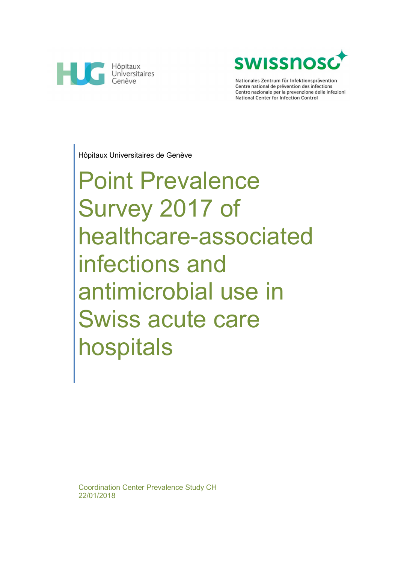



Nationales Zentrum für Infektionsprävention Centre national de prévention des infections Centro nazionale per la prevenzione delle infezioni National Center for Infection Control

Hôpitaux Universitaires de Genève

# Point Prevalence Survey 2017 of healthcare-associated infections and antimicrobial use in Swiss acute care hospitals

Coordination Center Prevalence Study CH 22/01/2018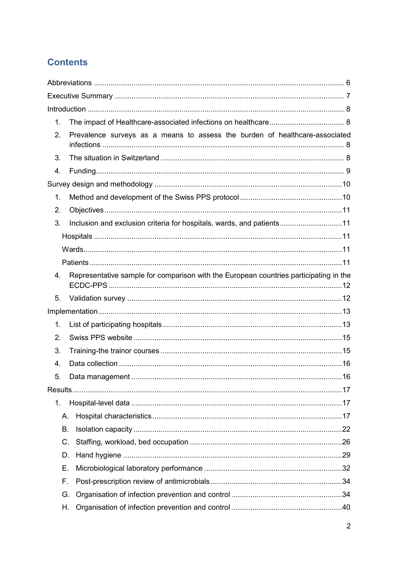# **Contents**

| 1. |                                                                                       |  |
|----|---------------------------------------------------------------------------------------|--|
| 2. | Prevalence surveys as a means to assess the burden of healthcare-associated           |  |
| 3. |                                                                                       |  |
| 4. |                                                                                       |  |
|    |                                                                                       |  |
| 1. |                                                                                       |  |
| 2. |                                                                                       |  |
| 3. | Inclusion and exclusion criteria for hospitals, wards, and patients11                 |  |
|    |                                                                                       |  |
|    |                                                                                       |  |
|    |                                                                                       |  |
| 4. | Representative sample for comparison with the European countries participating in the |  |
| 5. |                                                                                       |  |
|    |                                                                                       |  |
| 1. |                                                                                       |  |
| 2. |                                                                                       |  |
| 3. |                                                                                       |  |
| 4. |                                                                                       |  |
| 5. |                                                                                       |  |
|    |                                                                                       |  |
| 1. |                                                                                       |  |
|    | Α.                                                                                    |  |
|    | Β.                                                                                    |  |
|    | C.                                                                                    |  |
|    | D.                                                                                    |  |
|    | Е.                                                                                    |  |
|    | F.                                                                                    |  |
|    | G.                                                                                    |  |
|    | Н.                                                                                    |  |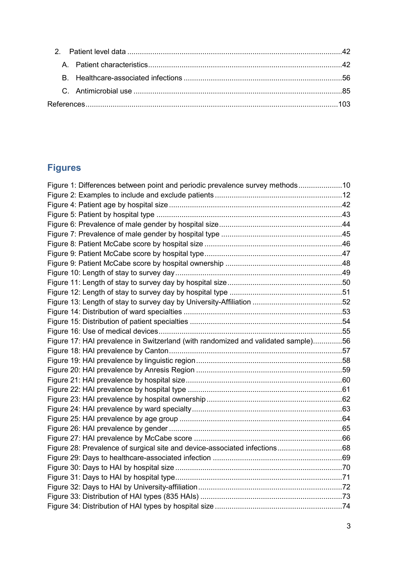# **Figures**

| Figure 1: Differences between point and periodic prevalence survey methods10      |  |
|-----------------------------------------------------------------------------------|--|
|                                                                                   |  |
|                                                                                   |  |
|                                                                                   |  |
|                                                                                   |  |
|                                                                                   |  |
|                                                                                   |  |
|                                                                                   |  |
|                                                                                   |  |
|                                                                                   |  |
|                                                                                   |  |
|                                                                                   |  |
|                                                                                   |  |
|                                                                                   |  |
|                                                                                   |  |
|                                                                                   |  |
| Figure 17: HAI prevalence in Switzerland (with randomized and validated sample)56 |  |
|                                                                                   |  |
|                                                                                   |  |
|                                                                                   |  |
|                                                                                   |  |
|                                                                                   |  |
|                                                                                   |  |
|                                                                                   |  |
|                                                                                   |  |
|                                                                                   |  |
|                                                                                   |  |
| Figure 28: Prevalence of surgical site and device-associated infections68         |  |
|                                                                                   |  |
|                                                                                   |  |
|                                                                                   |  |
|                                                                                   |  |
|                                                                                   |  |
|                                                                                   |  |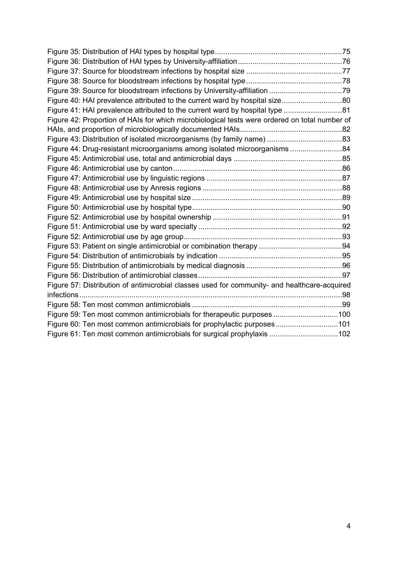| Figure 40: HAI prevalence attributed to the current ward by hospital size80                   |  |
|-----------------------------------------------------------------------------------------------|--|
| Figure 41: HAI prevalence attributed to the current ward by hospital type 81                  |  |
| Figure 42: Proportion of HAIs for which microbiological tests were ordered on total number of |  |
|                                                                                               |  |
|                                                                                               |  |
| Figure 44: Drug-resistant microorganisms among isolated microorganisms 84                     |  |
|                                                                                               |  |
|                                                                                               |  |
|                                                                                               |  |
|                                                                                               |  |
|                                                                                               |  |
|                                                                                               |  |
|                                                                                               |  |
|                                                                                               |  |
|                                                                                               |  |
|                                                                                               |  |
|                                                                                               |  |
|                                                                                               |  |
|                                                                                               |  |
| Figure 57: Distribution of antimicrobial classes used for community- and healthcare-acquired  |  |
|                                                                                               |  |
|                                                                                               |  |
| Figure 59: Ten most common antimicrobials for therapeutic purposes 100                        |  |
| Figure 60: Ten most common antimicrobials for prophylactic purposes101                        |  |
| Figure 61: Ten most common antimicrobials for surgical prophylaxis 102                        |  |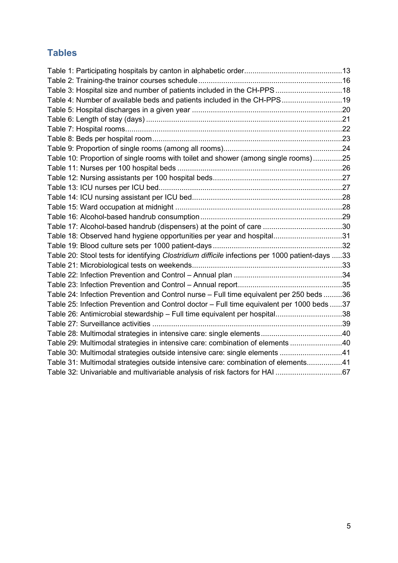# **Tables**

| Table 3: Hospital size and number of patients included in the CH-PPS 18                         |  |
|-------------------------------------------------------------------------------------------------|--|
| Table 4: Number of available beds and patients included in the CH-PPS19                         |  |
|                                                                                                 |  |
|                                                                                                 |  |
|                                                                                                 |  |
|                                                                                                 |  |
|                                                                                                 |  |
| Table 10: Proportion of single rooms with toilet and shower (among single rooms)25              |  |
|                                                                                                 |  |
|                                                                                                 |  |
|                                                                                                 |  |
|                                                                                                 |  |
|                                                                                                 |  |
|                                                                                                 |  |
|                                                                                                 |  |
| Table 18: Observed hand hygiene opportunities per year and hospital31                           |  |
|                                                                                                 |  |
| Table 20: Stool tests for identifying Clostridium difficile infections per 1000 patient-days 33 |  |
|                                                                                                 |  |
|                                                                                                 |  |
|                                                                                                 |  |
| Table 24: Infection Prevention and Control nurse - Full time equivalent per 250 beds 36         |  |
| Table 25: Infection Prevention and Control doctor - Full time equivalent per 1000 beds 37       |  |
| Table 26: Antimicrobial stewardship - Full time equivalent per hospital38                       |  |
|                                                                                                 |  |
|                                                                                                 |  |
| Table 29: Multimodal strategies in intensive care: combination of elements 40                   |  |
| Table 30: Multimodal strategies outside intensive care: single elements 41                      |  |
| Table 31: Multimodal strategies outside intensive care: combination of elements41               |  |
| Table 32: Univariable and multivariable analysis of risk factors for HAI 67                     |  |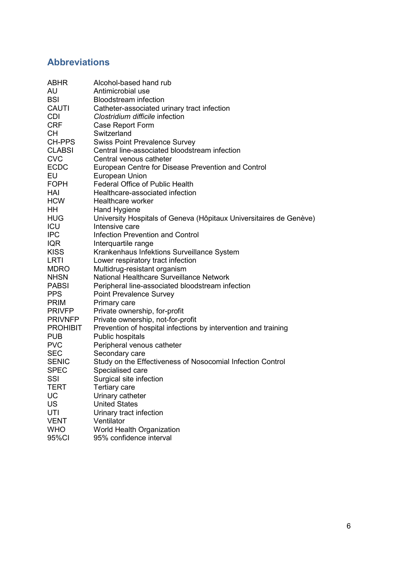# **Abbreviations**

| <b>ABHR</b>     | Alcohol-based hand rub                                             |
|-----------------|--------------------------------------------------------------------|
| AU              | Antimicrobial use                                                  |
| <b>BSI</b>      | <b>Bloodstream infection</b>                                       |
| <b>CAUTI</b>    | Catheter-associated urinary tract infection                        |
| <b>CDI</b>      | Clostridium difficile infection                                    |
| <b>CRF</b>      | Case Report Form                                                   |
| <b>CH</b>       | Switzerland                                                        |
| CH-PPS          | <b>Swiss Point Prevalence Survey</b>                               |
| <b>CLABSI</b>   | Central line-associated bloodstream infection                      |
| <b>CVC</b>      | Central venous catheter                                            |
| <b>ECDC</b>     | European Centre for Disease Prevention and Control                 |
| <b>EU</b>       | <b>European Union</b>                                              |
| <b>FOPH</b>     | <b>Federal Office of Public Health</b>                             |
| HAI             | Healthcare-associated infection                                    |
| <b>HCW</b>      | Healthcare worker                                                  |
| HH              | Hand Hygiene                                                       |
| <b>HUG</b>      | University Hospitals of Geneva (Hôpitaux Universitaires de Genève) |
| ICU             | Intensive care                                                     |
| <b>IPC</b>      | <b>Infection Prevention and Control</b>                            |
| <b>IQR</b>      | Interquartile range                                                |
| <b>KISS</b>     | Krankenhaus Infektions Surveillance System                         |
| <b>LRTI</b>     | Lower respiratory tract infection                                  |
| <b>MDRO</b>     | Multidrug-resistant organism                                       |
| <b>NHSN</b>     | National Healthcare Surveillance Network                           |
| <b>PABSI</b>    | Peripheral line-associated bloodstream infection                   |
| <b>PPS</b>      | <b>Point Prevalence Survey</b>                                     |
| <b>PRIM</b>     | Primary care                                                       |
| <b>PRIVEP</b>   | Private ownership, for-profit                                      |
| <b>PRIVNFP</b>  | Private ownership, not-for-profit                                  |
| <b>PROHIBIT</b> | Prevention of hospital infections by intervention and training     |
| <b>PUB</b>      | Public hospitals                                                   |
| <b>PVC</b>      | Peripheral venous catheter                                         |
| <b>SEC</b>      | Secondary care                                                     |
| <b>SENIC</b>    | Study on the Effectiveness of Nosocomial Infection Control         |
| <b>SPEC</b>     | Specialised care                                                   |
| SSI             | Surgical site infection                                            |
| <b>TERT</b>     | Tertiary care                                                      |
| UC              | Urinary catheter                                                   |
| <b>US</b>       | <b>United States</b>                                               |
| UTI             | Urinary tract infection                                            |
| <b>VENT</b>     | Ventilator                                                         |
| <b>WHO</b>      | World Health Organization                                          |
| 95%CI           | 95% confidence interval                                            |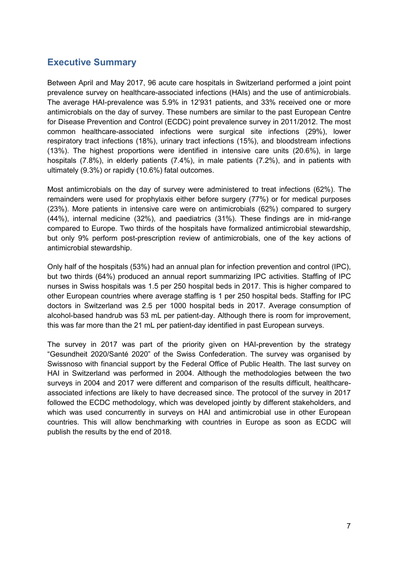## **Executive Summary**

Between April and May 2017, 96 acute care hospitals in Switzerland performed a joint point prevalence survey on healthcare-associated infections (HAIs) and the use of antimicrobials. The average HAI-prevalence was 5.9% in 12'931 patients, and 33% received one or more antimicrobials on the day of survey. These numbers are similar to the past European Centre for Disease Prevention and Control (ECDC) point prevalence survey in 2011/2012. The most common healthcare-associated infections were surgical site infections (29%), lower respiratory tract infections (18%), urinary tract infections (15%), and bloodstream infections (13%). The highest proportions were identified in intensive care units (20.6%), in large hospitals (7.8%), in elderly patients (7.4%), in male patients (7.2%), and in patients with ultimately (9.3%) or rapidly (10.6%) fatal outcomes.

Most antimicrobials on the day of survey were administered to treat infections (62%). The remainders were used for prophylaxis either before surgery (77%) or for medical purposes (23%). More patients in intensive care were on antimicrobials (62%) compared to surgery (44%), internal medicine (32%), and paediatrics (31%). These findings are in mid-range compared to Europe. Two thirds of the hospitals have formalized antimicrobial stewardship, but only 9% perform post-prescription review of antimicrobials, one of the key actions of antimicrobial stewardship.

Only half of the hospitals (53%) had an annual plan for infection prevention and control (IPC), but two thirds (64%) produced an annual report summarizing IPC activities. Staffing of IPC nurses in Swiss hospitals was 1.5 per 250 hospital beds in 2017. This is higher compared to other European countries where average staffing is 1 per 250 hospital beds. Staffing for IPC doctors in Switzerland was 2.5 per 1000 hospital beds in 2017. Average consumption of alcohol-based handrub was 53 mL per patient-day. Although there is room for improvement, this was far more than the 21 mL per patient-day identified in past European surveys.

The survey in 2017 was part of the priority given on HAI-prevention by the strategy "Gesundheit 2020/Santé 2020" of the Swiss Confederation. The survey was organised by Swissnoso with financial support by the Federal Office of Public Health. The last survey on HAI in Switzerland was performed in 2004. Although the methodologies between the two surveys in 2004 and 2017 were different and comparison of the results difficult, healthcareassociated infections are likely to have decreased since. The protocol of the survey in 2017 followed the ECDC methodology, which was developed jointly by different stakeholders, and which was used concurrently in surveys on HAI and antimicrobial use in other European countries. This will allow benchmarking with countries in Europe as soon as ECDC will publish the results by the end of 2018.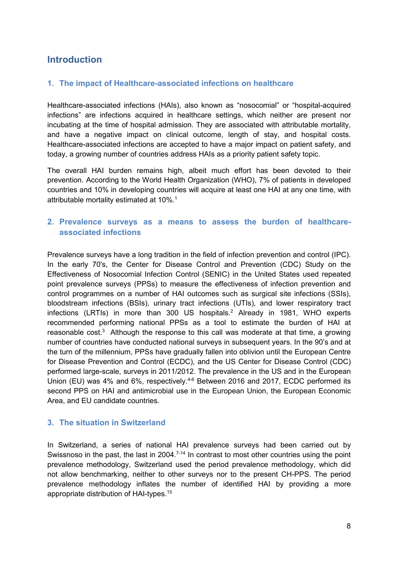# **Introduction**

## **1. The impact of Healthcare-associated infections on healthcare**

Healthcare-associated infections (HAIs), also known as "nosocomial" or "hospital-acquired infections" are infections acquired in healthcare settings, which neither are present nor incubating at the time of hospital admission. They are associated with attributable mortality, and have a negative impact on clinical outcome, length of stay, and hospital costs. Healthcare-associated infections are accepted to have a major impact on patient safety, and today, a growing number of countries address HAIs as a priority patient safety topic.

The overall HAI burden remains high, albeit much effort has been devoted to their prevention. According to the World Health Organization (WHO), 7% of patients in developed countries and 10% in developing countries will acquire at least one HAI at any one time, with attributable mortality estimated at 10%.<sup>1</sup>

## **2. Prevalence surveys as a means to assess the burden of healthcareassociated infections**

Prevalence surveys have a long tradition in the field of infection prevention and control (IPC). In the early 70's, the Center for Disease Control and Prevention (CDC) Study on the Effectiveness of Nosocomial Infection Control (SENIC) in the United States used repeated point prevalence surveys (PPSs) to measure the effectiveness of infection prevention and control programmes on a number of HAI outcomes such as surgical site infections (SSIs), bloodstream infections (BSIs), urinary tract infections (UTIs), and lower respiratory tract infections (LRTIs) in more than 300 US hospitals.<sup>2</sup> Already in 1981, WHO experts recommended performing national PPSs as a tool to estimate the burden of HAI at reasonable cost.<sup>3</sup> Although the response to this call was moderate at that time, a growing number of countries have conducted national surveys in subsequent years. In the 90's and at the turn of the millennium, PPSs have gradually fallen into oblivion until the European Centre for Disease Prevention and Control (ECDC), and the US Center for Disease Control (CDC) performed large-scale, surveys in 2011/2012. The prevalence in the US and in the European Union (EU) was 4% and 6%, respectively.<sup>4-6</sup> Between 2016 and 2017, ECDC performed its second PPS on HAI and antimicrobial use in the European Union, the European Economic Area, and EU candidate countries.

## **3. The situation in Switzerland**

In Switzerland, a series of national HAI prevalence surveys had been carried out by Swissnoso in the past, the last in 2004.<sup>7-14</sup> In contrast to most other countries using the point prevalence methodology, Switzerland used the period prevalence methodology, which did not allow benchmarking, neither to other surveys nor to the present CH-PPS. The period prevalence methodology inflates the number of identified HAI by providing a more appropriate distribution of HAI-types.<sup>15</sup>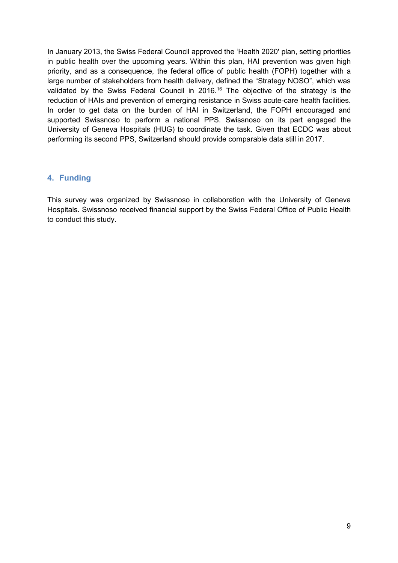In January 2013, the Swiss Federal Council approved the 'Health 2020' plan, setting priorities in public health over the upcoming years. Within this plan, HAI prevention was given high priority, and as a consequence, the federal office of public health (FOPH) together with a large number of stakeholders from health delivery, defined the "Strategy NOSO", which was validated by the Swiss Federal Council in 2016.<sup>16</sup> The objective of the strategy is the reduction of HAIs and prevention of emerging resistance in Swiss acute-care health facilities. In order to get data on the burden of HAI in Switzerland, the FOPH encouraged and supported Swissnoso to perform a national PPS. Swissnoso on its part engaged the University of Geneva Hospitals (HUG) to coordinate the task. Given that ECDC was about performing its second PPS, Switzerland should provide comparable data still in 2017.

## **4. Funding**

This survey was organized by Swissnoso in collaboration with the University of Geneva Hospitals. Swissnoso received financial support by the Swiss Federal Office of Public Health to conduct this study.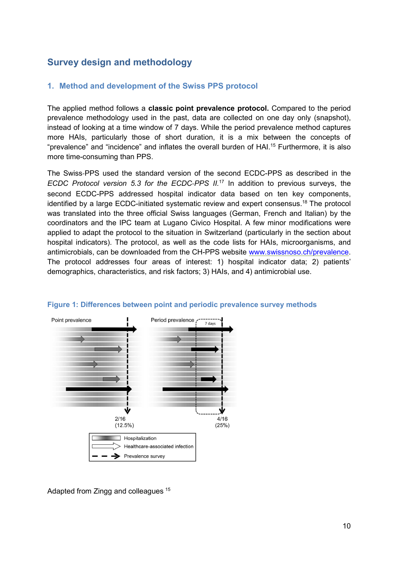# **Survey design and methodology**

## **1. Method and development of the Swiss PPS protocol**

The applied method follows a **classic point prevalence protocol.** Compared to the period prevalence methodology used in the past, data are collected on one day only (snapshot), instead of looking at a time window of 7 days. While the period prevalence method captures more HAIs, particularly those of short duration, it is a mix between the concepts of "prevalence" and "incidence" and inflates the overall burden of HAI.<sup>15</sup> Furthermore, it is also more time-consuming than PPS.

The Swiss‐PPS used the standard version of the second ECDC-PPS as described in the *ECDC Protocol version 5.3 for the ECDC‐PPS II.*<sup>17</sup> In addition to previous surveys, the second ECDC-PPS addressed hospital indicator data based on ten key components, identified by a large ECDC-initiated systematic review and expert consensus.<sup>18</sup> The protocol was translated into the three official Swiss languages (German, French and Italian) by the coordinators and the IPC team at Lugano Civico Hospital. A few minor modifications were applied to adapt the protocol to the situation in Switzerland (particularly in the section about hospital indicators). The protocol, as well as the code lists for HAIs, microorganisms, and antimicrobials, can be downloaded from the CH-PPS website www.swissnoso.ch/prevalence. The protocol addresses four areas of interest: 1) hospital indicator data; 2) patients' demographics, characteristics, and risk factors; 3) HAIs, and 4) antimicrobial use.





Adapted from Zingg and colleagues <sup>15</sup>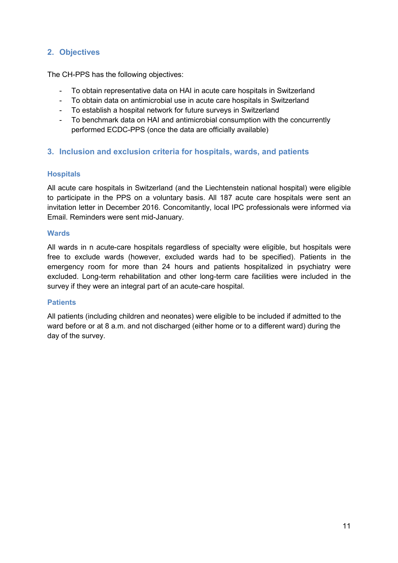## **2. Objectives**

The CH-PPS has the following objectives:

- To obtain representative data on HAI in acute care hospitals in Switzerland
- To obtain data on antimicrobial use in acute care hospitals in Switzerland
- To establish a hospital network for future surveys in Switzerland
- To benchmark data on HAI and antimicrobial consumption with the concurrently performed ECDC-PPS (once the data are officially available)

## **3. Inclusion and exclusion criteria for hospitals, wards, and patients**

### **Hospitals**

All acute care hospitals in Switzerland (and the Liechtenstein national hospital) were eligible to participate in the PPS on a voluntary basis. All 187 acute care hospitals were sent an invitation letter in December 2016. Concomitantly, local IPC professionals were informed via Email. Reminders were sent mid-January.

#### **Wards**

All wards in n acute-care hospitals regardless of specialty were eligible, but hospitals were free to exclude wards (however, excluded wards had to be specified). Patients in the emergency room for more than 24 hours and patients hospitalized in psychiatry were excluded. Long-term rehabilitation and other long-term care facilities were included in the survey if they were an integral part of an acute-care hospital.

## **Patients**

All patients (including children and neonates) were eligible to be included if admitted to the ward before or at 8 a.m. and not discharged (either home or to a different ward) during the day of the survey.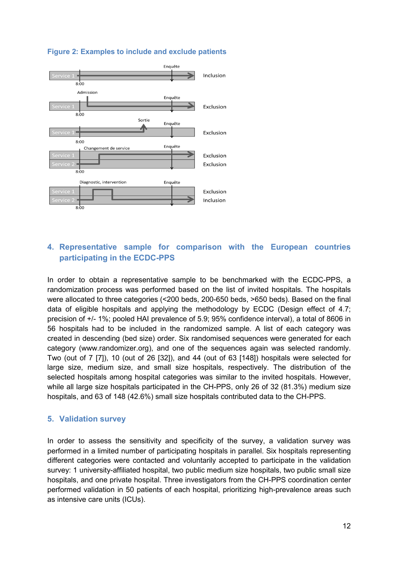

## **Figure 2: Examples to include and exclude patients**

## **4. Representative sample for comparison with the European countries participating in the ECDC-PPS**

In order to obtain a representative sample to be benchmarked with the ECDC-PPS, a randomization process was performed based on the list of invited hospitals. The hospitals were allocated to three categories (<200 beds, 200-650 beds, >650 beds). Based on the final data of eligible hospitals and applying the methodology by ECDC (Design effect of 4.7; precision of +/- 1%; pooled HAI prevalence of 5.9; 95% confidence interval), a total of 8606 in 56 hospitals had to be included in the randomized sample. A list of each category was created in descending (bed size) order. Six randomised sequences were generated for each category (www.randomizer.org), and one of the sequences again was selected randomly. Two (out of 7 [7]), 10 (out of 26 [32]), and 44 (out of 63 [148]) hospitals were selected for large size, medium size, and small size hospitals, respectively. The distribution of the selected hospitals among hospital categories was similar to the invited hospitals. However, while all large size hospitals participated in the CH-PPS, only 26 of 32 (81.3%) medium size hospitals, and 63 of 148 (42.6%) small size hospitals contributed data to the CH-PPS.

## **5. Validation survey**

In order to assess the sensitivity and specificity of the survey, a validation survey was performed in a limited number of participating hospitals in parallel. Six hospitals representing different categories were contacted and voluntarily accepted to participate in the validation survey: 1 university-affiliated hospital, two public medium size hospitals, two public small size hospitals, and one private hospital. Three investigators from the CH-PPS coordination center performed validation in 50 patients of each hospital, prioritizing high-prevalence areas such as intensive care units (ICUs).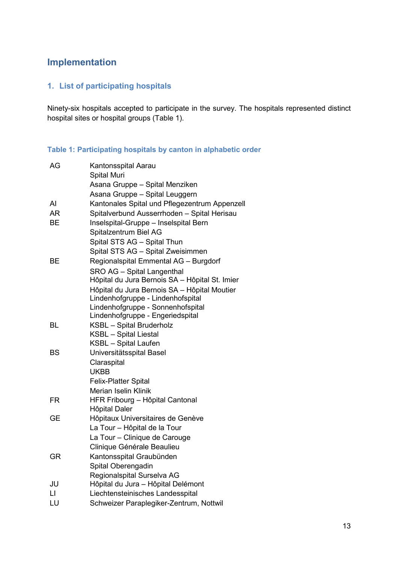# **Implementation**

## **1. List of participating hospitals**

Ninety-six hospitals accepted to participate in the survey. The hospitals represented distinct hospital sites or hospital groups (Table 1).

#### **Table 1: Participating hospitals by canton in alphabetic order**

| AG           | Kantonsspital Aarau<br><b>Spital Muri</b>                           |
|--------------|---------------------------------------------------------------------|
|              | Asana Gruppe - Spital Menziken                                      |
|              | Asana Gruppe - Spital Leuggern                                      |
| Al           | Kantonales Spital und Pflegezentrum Appenzell                       |
| <b>AR</b>    | Spitalverbund Ausserrhoden - Spital Herisau                         |
| <b>BE</b>    | Inselspital-Gruppe - Inselspital Bern                               |
|              | Spitalzentrum Biel AG                                               |
|              | Spital STS AG - Spital Thun                                         |
|              | Spital STS AG - Spital Zweisimmen                                   |
| <b>BE</b>    | Regionalspital Emmental AG - Burgdorf                               |
|              | SRO AG - Spital Langenthal                                          |
|              | Hôpital du Jura Bernois SA - Hôpital St. Imier                      |
|              | Hôpital du Jura Bernois SA - Hôpital Moutier                        |
|              | Lindenhofgruppe - Lindenhofspital                                   |
|              | Lindenhofgruppe - Sonnenhofspital                                   |
| BL           | Lindenhofgruppe - Engeriedspital<br><b>KSBL</b> - Spital Bruderholz |
|              | <b>KSBL</b> - Spital Liestal                                        |
|              | <b>KSBL</b> - Spital Laufen                                         |
| BS           | Universitätsspital Basel                                            |
|              | Claraspital                                                         |
|              | <b>UKBB</b>                                                         |
|              | <b>Felix-Platter Spital</b>                                         |
|              | Merian Iselin Klinik                                                |
| <b>FR</b>    | HFR Fribourg - Hôpital Cantonal                                     |
|              | Hôpital Daler                                                       |
| GЕ           | Hôpitaux Universitaires de Genève                                   |
|              | La Tour - Hôpital de la Tour                                        |
|              | La Tour - Clinique de Carouge                                       |
|              | Clinique Générale Beaulieu                                          |
| GR           | Kantonsspital Graubünden                                            |
|              | Spital Oberengadin                                                  |
|              | Regionalspital Surselva AG                                          |
| JU           | Hôpital du Jura - Hôpital Delémont                                  |
| $\mathsf{L}$ | Liechtensteinisches Landesspital                                    |
| LU           | Schweizer Paraplegiker-Zentrum, Nottwil                             |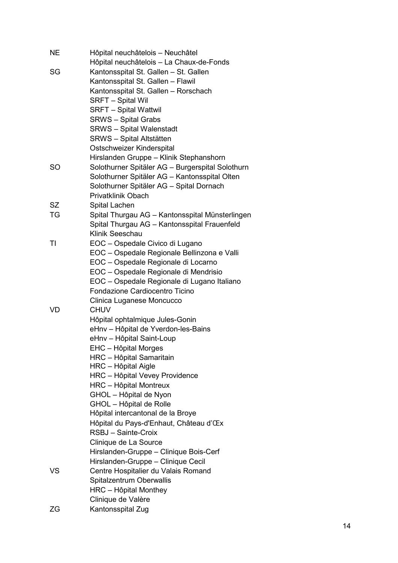| <b>NE</b> | Hôpital neuchâtelois - Neuchâtel                 |
|-----------|--------------------------------------------------|
|           | Hôpital neuchâtelois - La Chaux-de-Fonds         |
| SG        | Kantonsspital St. Gallen - St. Gallen            |
|           | Kantonsspital St. Gallen - Flawil                |
|           | Kantonsspital St. Gallen - Rorschach             |
|           | <b>SRFT - Spital Wil</b>                         |
|           | <b>SRFT - Spital Wattwil</b>                     |
|           | <b>SRWS - Spital Grabs</b>                       |
|           | <b>SRWS</b> - Spital Walenstadt                  |
|           | <b>SRWS - Spital Altstätten</b>                  |
|           | Ostschweizer Kinderspital                        |
|           | Hirslanden Gruppe - Klinik Stephanshorn          |
| <b>SO</b> | Solothurner Spitäler AG - Burgerspital Solothurn |
|           | Solothurner Spitäler AG - Kantonsspital Olten    |
|           | Solothurner Spitäler AG - Spital Dornach         |
|           | <b>Privatklinik Obach</b>                        |
| <b>SZ</b> | Spital Lachen                                    |
| TG        | Spital Thurgau AG - Kantonsspital Münsterlingen  |
|           | Spital Thurgau AG - Kantonsspital Frauenfeld     |
|           | Klinik Seeschau                                  |
| TI        | EOC - Ospedale Civico di Lugano                  |
|           | EOC - Ospedale Regionale Bellinzona e Valli      |
|           | EOC - Ospedale Regionale di Locarno              |
|           | EOC - Ospedale Regionale di Mendrisio            |
|           | EOC - Ospedale Regionale di Lugano Italiano      |
|           | Fondazione Cardiocentro Ticino                   |
|           | Clinica Luganese Moncucco                        |
| VD        | <b>CHUV</b>                                      |
|           | Hôpital ophtalmique Jules-Gonin                  |
|           | eHnv - Hôpital de Yverdon-les-Bains              |
|           | eHnv - Hôpital Saint-Loup                        |
|           | EHC - Hôpital Morges                             |
|           | HRC - Hôpital Samaritain                         |
|           | HRC – Hôpital Aigle                              |
|           | HRC - Hôpital Vevey Providence                   |
|           | <b>HRC</b> - Hôpital Montreux                    |
|           | GHOL - Hôpital de Nyon                           |
|           | GHOL - Hôpital de Rolle                          |
|           | Hôpital intercantonal de la Broye                |
|           | Hôpital du Pays-d'Enhaut, Château d'Œx           |
|           | RSBJ - Sainte-Croix                              |
|           | Clinique de La Source                            |
|           | Hirslanden-Gruppe - Clinique Bois-Cerf           |
|           | Hirslanden-Gruppe - Clinique Cecil               |
| <b>VS</b> | Centre Hospitalier du Valais Romand              |
|           | Spitalzentrum Oberwallis                         |
|           | HRC - Hôpital Monthey                            |
|           | Clinique de Valère                               |
| ΖG        | Kantonsspital Zug                                |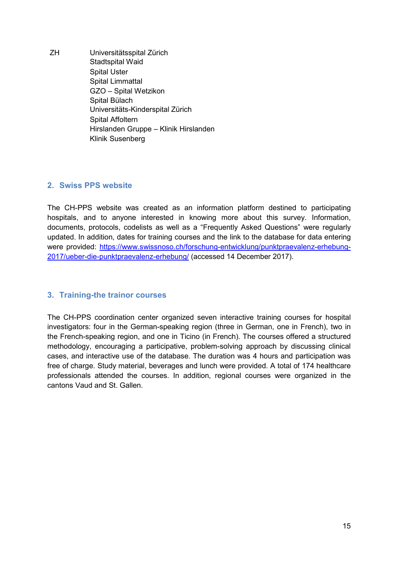ZH Universitätsspital Zürich Stadtspital Waid Spital Uster Spital Limmattal GZO – Spital Wetzikon Spital Bülach Universitäts-Kinderspital Zürich Spital Affoltern Hirslanden Gruppe – Klinik Hirslanden Klinik Susenberg

## **2. Swiss PPS website**

The CH-PPS website was created as an information platform destined to participating hospitals, and to anyone interested in knowing more about this survey. Information, documents, protocols, codelists as well as a "Frequently Asked Questions" were regularly updated. In addition, dates for training courses and the link to the database for data entering were provided: https://www.swissnoso.ch/forschung-entwicklung/punktpraevalenz-erhebung-2017/ueber-die-punktpraevalenz-erhebung/ (accessed 14 December 2017).

## **3. Training-the trainor courses**

The CH-PPS coordination center organized seven interactive training courses for hospital investigators: four in the German-speaking region (three in German, one in French), two in the French-speaking region, and one in Ticino (in French). The courses offered a structured methodology, encouraging a participative, problem-solving approach by discussing clinical cases, and interactive use of the database. The duration was 4 hours and participation was free of charge. Study material, beverages and lunch were provided. A total of 174 healthcare professionals attended the courses. In addition, regional courses were organized in the cantons Vaud and St. Gallen.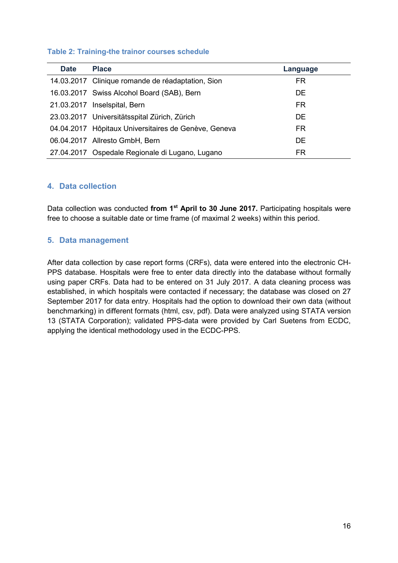#### **Table 2: Training-the trainor courses schedule**

| <b>Date</b> | <b>Place</b>                                         | Language  |  |
|-------------|------------------------------------------------------|-----------|--|
|             | 14.03.2017 Clinique romande de réadaptation, Sion    | FR.       |  |
|             | 16.03.2017 Swiss Alcohol Board (SAB), Bern           | <b>DE</b> |  |
|             | 21.03.2017 Inselspital, Bern                         | FR.       |  |
|             | 23.03.2017 Universitätsspital Zürich, Zürich         | <b>DE</b> |  |
|             | 04.04.2017 Hôpitaux Universitaires de Genève, Geneva | FR.       |  |
|             | 06.04.2017 Allresto GmbH, Bern                       | <b>DE</b> |  |
|             | 27.04.2017 Ospedale Regionale di Lugano, Lugano      | FR        |  |

### **4. Data collection**

Data collection was conducted **from 1st April to 30 June 2017.** Participating hospitals were free to choose a suitable date or time frame (of maximal 2 weeks) within this period.

### **5. Data management**

After data collection by case report forms (CRFs), data were entered into the electronic CH-PPS database. Hospitals were free to enter data directly into the database without formally using paper CRFs. Data had to be entered on 31 July 2017. A data cleaning process was established, in which hospitals were contacted if necessary; the database was closed on 27 September 2017 for data entry. Hospitals had the option to download their own data (without benchmarking) in different formats (html, csv, pdf). Data were analyzed using STATA version 13 (STATA Corporation); validated PPS-data were provided by Carl Suetens from ECDC, applying the identical methodology used in the ECDC-PPS.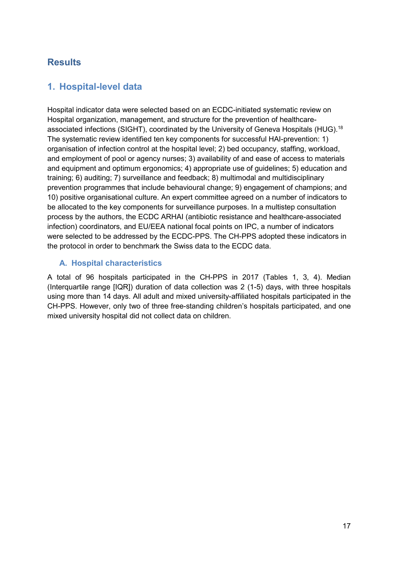# **Results**

# **1. Hospital-level data**

Hospital indicator data were selected based on an ECDC-initiated systematic review on Hospital organization, management, and structure for the prevention of healthcareassociated infections (SIGHT), coordinated by the University of Geneva Hospitals (HUG).<sup>18</sup> The systematic review identified ten key components for successful HAI-prevention: 1) organisation of infection control at the hospital level; 2) bed occupancy, staffing, workload, and employment of pool or agency nurses; 3) availability of and ease of access to materials and equipment and optimum ergonomics; 4) appropriate use of guidelines; 5) education and training; 6) auditing; 7) surveillance and feedback; 8) multimodal and multidisciplinary prevention programmes that include behavioural change; 9) engagement of champions; and 10) positive organisational culture. An expert committee agreed on a number of indicators to be allocated to the key components for surveillance purposes. In a multistep consultation process by the authors, the ECDC ARHAI (antibiotic resistance and healthcare-associated infection) coordinators, and EU/EEA national focal points on IPC, a number of indicators were selected to be addressed by the ECDC-PPS. The CH-PPS adopted these indicators in the protocol in order to benchmark the Swiss data to the ECDC data.

## **A. Hospital characteristics**

A total of 96 hospitals participated in the CH-PPS in 2017 (Tables 1, 3, 4). Median (Interquartile range [IQR]) duration of data collection was 2 (1-5) days, with three hospitals using more than 14 days. All adult and mixed university-affiliated hospitals participated in the CH-PPS. However, only two of three free-standing children's hospitals participated, and one mixed university hospital did not collect data on children.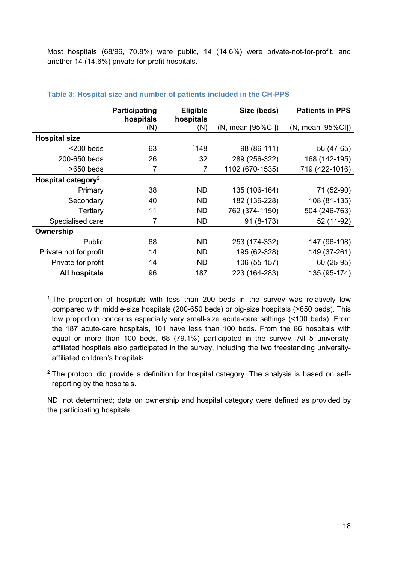Most hospitals (68/96, 70.8%) were public, 14 (14.6%) were private-not-for-profit, and another 14 (14.6%) private-for-profit hospitals.

|                                | Participating<br>hospitals | Eligible<br>hospitals | Size (beds)                  | <b>Patients in PPS</b>       |
|--------------------------------|----------------------------|-----------------------|------------------------------|------------------------------|
|                                | (N)                        | (N)                   | $(N, \text{mean } [95\%CI])$ | $(N, \text{mean } [95\%CI])$ |
| <b>Hospital size</b>           |                            |                       |                              |                              |
| $<$ 200 beds                   | 63                         | 1148                  | 98 (86-111)                  | 56 (47-65)                   |
| 200-650 beds                   | 26                         | 32                    | 289 (256-322)                | 168 (142-195)                |
| $>650$ beds                    | 7                          | $\overline{7}$        | 1102 (670-1535)              | 719 (422-1016)               |
| Hospital category <sup>2</sup> |                            |                       |                              |                              |
| Primary                        | 38                         | <b>ND</b>             | 135 (106-164)                | 71 (52-90)                   |
| Secondary                      | 40                         | <b>ND</b>             | 182 (136-228)                | 108 (81-135)                 |
| Tertiary                       | 11                         | <b>ND</b>             | 762 (374-1150)               | 504 (246-763)                |
| Specialised care               | 7                          | <b>ND</b>             | 91 (8-173)                   | 52 (11-92)                   |
| Ownership                      |                            |                       |                              |                              |
| <b>Public</b>                  | 68                         | ND                    | 253 (174-332)                | 147 (96-198)                 |
| Private not for profit         | 14                         | ND                    | 195 (62-328)                 | 149 (37-261)                 |
| Private for profit             | 14                         | <b>ND</b>             | 106 (55-157)                 | 60 (25-95)                   |
| <b>All hospitals</b>           | 96                         | 187                   | 223 (164-283)                | 135 (95-174)                 |

#### **Table 3: Hospital size and number of patients included in the CH-PPS**

 $1$  The proportion of hospitals with less than 200 beds in the survey was relatively low compared with middle-size hospitals (200-650 beds) or big-size hospitals (>650 beds). This low proportion concerns especially very small-size acute-care settings (<100 beds). From the 187 acute-care hospitals, 101 have less than 100 beds. From the 86 hospitals with equal or more than 100 beds, 68 (79.1%) participated in the survey. All 5 universityaffiliated hospitals also participated in the survey, including the two freestanding universityaffiliated children's hospitals.

 $2$  The protocol did provide a definition for hospital category. The analysis is based on selfreporting by the hospitals.

ND: not determined; data on ownership and hospital category were defined as provided by the participating hospitals.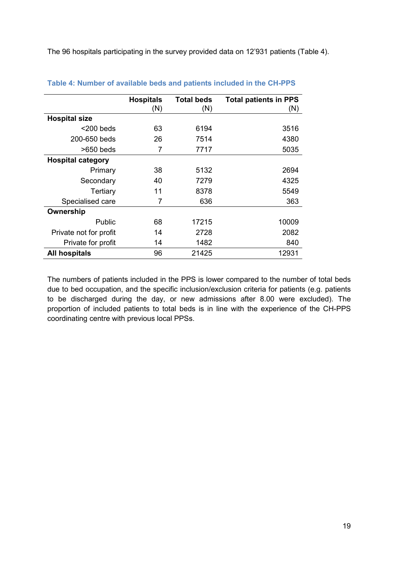The 96 hospitals participating in the survey provided data on 12'931 patients (Table 4).

|                          | <b>Hospitals</b> | <b>Total beds</b> | <b>Total patients in PPS</b> |
|--------------------------|------------------|-------------------|------------------------------|
|                          | (N)              | (N)               | (N)                          |
| <b>Hospital size</b>     |                  |                   |                              |
| $<$ 200 beds             | 63               | 6194              | 3516                         |
| 200-650 beds             | 26               | 7514              | 4380                         |
| $>650$ beds              | 7                | 7717              | 5035                         |
| <b>Hospital category</b> |                  |                   |                              |
| Primary                  | 38               | 5132              | 2694                         |
| Secondary                | 40               | 7279              | 4325                         |
| Tertiary                 | 11               | 8378              | 5549                         |
| Specialised care         | 7                | 636               | 363                          |
| Ownership                |                  |                   |                              |
| Public                   | 68               | 17215             | 10009                        |
| Private not for profit   | 14               | 2728              | 2082                         |
| Private for profit       | 14               | 1482              | 840                          |
| All hospitals            | 96               | 21425             | 12931                        |

#### **Table 4: Number of available beds and patients included in the CH-PPS**

The numbers of patients included in the PPS is lower compared to the number of total beds due to bed occupation, and the specific inclusion/exclusion criteria for patients (e.g. patients to be discharged during the day, or new admissions after 8.00 were excluded). The proportion of included patients to total beds is in line with the experience of the CH-PPS coordinating centre with previous local PPSs.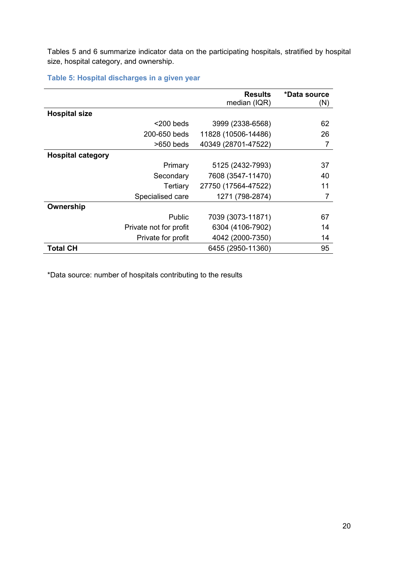Tables 5 and 6 summarize indicator data on the participating hospitals, stratified by hospital size, hospital category, and ownership.

**Table 5: Hospital discharges in a given year** 

|                          |                        | <b>Results</b><br>median (IQR) | *Data source<br>(N) |
|--------------------------|------------------------|--------------------------------|---------------------|
|                          |                        |                                |                     |
| <b>Hospital size</b>     |                        |                                |                     |
|                          | $<$ 200 beds           | 3999 (2338-6568)               | 62                  |
|                          | 200-650 beds           | 11828 (10506-14486)            | 26                  |
|                          | $>650$ beds            | 40349 (28701-47522)            | 7                   |
| <b>Hospital category</b> |                        |                                |                     |
|                          | Primary                | 5125 (2432-7993)               | 37                  |
|                          | Secondary              | 7608 (3547-11470)              | 40                  |
|                          | Tertiary               | 27750 (17564-47522)            | 11                  |
|                          | Specialised care       | 1271 (798-2874)                |                     |
| Ownership                |                        |                                |                     |
|                          | Public                 | 7039 (3073-11871)              | 67                  |
|                          | Private not for profit | 6304 (4106-7902)               | 14                  |
|                          | Private for profit     | 4042 (2000-7350)               | 14                  |
| <b>Total CH</b>          |                        | 6455 (2950-11360)              | 95                  |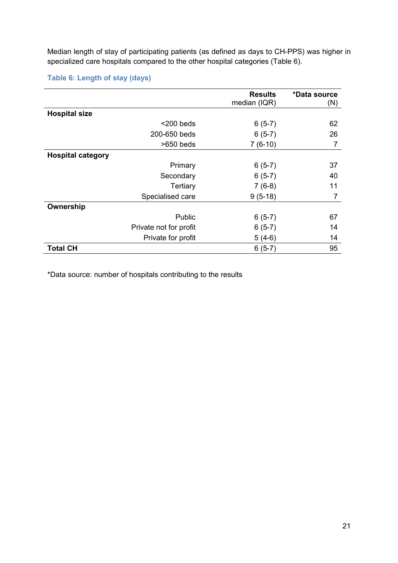Median length of stay of participating patients (as defined as days to CH-PPS) was higher in specialized care hospitals compared to the other hospital categories (Table 6).

## **Table 6: Length of stay (days)**

|                          |                        | <b>Results</b> | *Data source |
|--------------------------|------------------------|----------------|--------------|
|                          |                        | median (IQR)   | (N)          |
| <b>Hospital size</b>     |                        |                |              |
|                          | $<$ 200 beds           | $6(5-7)$       | 62           |
|                          | 200-650 beds           | $6(5-7)$       | 26           |
|                          | $>650$ beds            | $7(6-10)$      | 7            |
| <b>Hospital category</b> |                        |                |              |
|                          | Primary                | $6(5-7)$       | 37           |
|                          | Secondary              | $6(5-7)$       | 40           |
|                          | Tertiary               | $7(6-8)$       | 11           |
|                          | Specialised care       | $9(5-18)$      | 7            |
| Ownership                |                        |                |              |
|                          | Public                 | $6(5-7)$       | 67           |
|                          | Private not for profit | $6(5-7)$       | 14           |
|                          | Private for profit     | $5(4-6)$       | 14           |
| <b>Total CH</b>          |                        | $6(5-7)$       | 95           |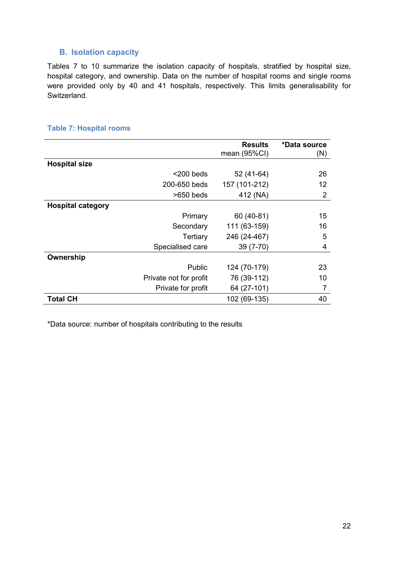## **B. Isolation capacity**

Tables 7 to 10 summarize the isolation capacity of hospitals, stratified by hospital size, hospital category, and ownership. Data on the number of hospital rooms and single rooms were provided only by 40 and 41 hospitals, respectively. This limits generalisability for Switzerland.

## **Table 7: Hospital rooms**

|                          |                        | <b>Results</b><br>mean (95%CI) | *Data source<br>(N) |
|--------------------------|------------------------|--------------------------------|---------------------|
| <b>Hospital size</b>     |                        |                                |                     |
|                          | $<$ 200 beds           | 52 (41-64)                     | 26                  |
|                          | 200-650 beds           | 157 (101-212)                  | 12                  |
|                          | $>650$ beds            | 412 (NA)                       | 2                   |
| <b>Hospital category</b> |                        |                                |                     |
|                          | Primary                | 60 (40-81)                     | 15                  |
|                          | Secondary              | 111 (63-159)                   | 16                  |
|                          | Tertiary               | 246 (24-467)                   | 5                   |
|                          | Specialised care       | $39(7-70)$                     | 4                   |
| Ownership                |                        |                                |                     |
|                          | Public                 | 124 (70-179)                   | 23                  |
|                          | Private not for profit | 76 (39-112)                    | 10                  |
|                          | Private for profit     | 64 (27-101)                    |                     |
| <b>Total CH</b>          |                        | 102 (69-135)                   | 40                  |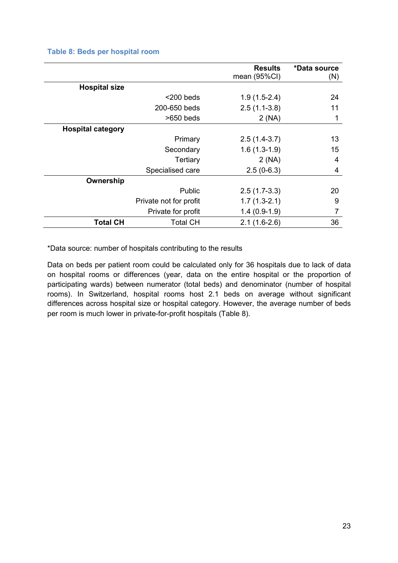### **Table 8: Beds per hospital room**

|                          |                        | <b>Results</b><br>mean (95%CI) | *Data source<br>(N) |
|--------------------------|------------------------|--------------------------------|---------------------|
| <b>Hospital size</b>     |                        |                                |                     |
|                          | $<$ 200 beds           | $1.9(1.5-2.4)$                 | 24                  |
|                          | 200-650 beds           | $2.5(1.1-3.8)$                 | 11                  |
|                          | $>650$ beds            | 2(NA)                          | 1                   |
| <b>Hospital category</b> |                        |                                |                     |
|                          | Primary                | $2.5(1.4-3.7)$                 | 13                  |
|                          | Secondary              | $1.6(1.3-1.9)$                 | 15                  |
|                          | Tertiary               | 2(NA)                          | 4                   |
|                          | Specialised care       | $2.5(0-6.3)$                   | 4                   |
| Ownership                |                        |                                |                     |
|                          | Public                 | $2.5(1.7-3.3)$                 | 20                  |
|                          | Private not for profit | $1.7(1.3-2.1)$                 | 9                   |
|                          | Private for profit     | $1.4(0.9-1.9)$                 |                     |
| <b>Total CH</b>          | <b>Total CH</b>        | $2.1(1.6-2.6)$                 | 36                  |

\*Data source: number of hospitals contributing to the results

Data on beds per patient room could be calculated only for 36 hospitals due to lack of data on hospital rooms or differences (year, data on the entire hospital or the proportion of participating wards) between numerator (total beds) and denominator (number of hospital rooms). In Switzerland, hospital rooms host 2.1 beds on average without significant differences across hospital size or hospital category. However, the average number of beds per room is much lower in private-for-profit hospitals (Table 8).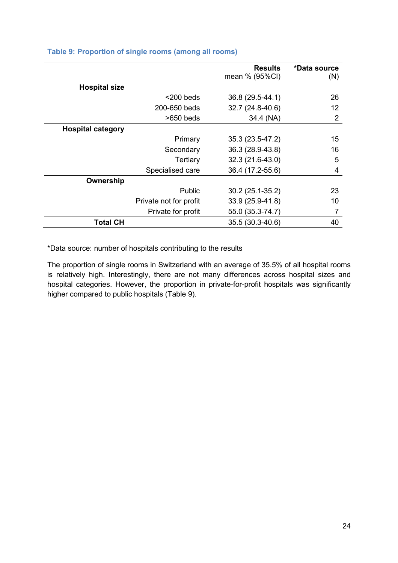|                          |                        | <b>Results</b><br>mean % (95%CI) | *Data source<br>(N) |
|--------------------------|------------------------|----------------------------------|---------------------|
| <b>Hospital size</b>     |                        |                                  |                     |
|                          | $<$ 200 beds           | 36.8 (29.5-44.1)                 | 26                  |
|                          | 200-650 beds           | 32.7 (24.8-40.6)                 | 12                  |
|                          | $>650$ beds            | 34.4 (NA)                        | 2                   |
| <b>Hospital category</b> |                        |                                  |                     |
|                          | Primary                | 35.3 (23.5-47.2)                 | 15                  |
|                          | Secondary              | 36.3 (28.9-43.8)                 | 16                  |
|                          | Tertiary               | 32.3 (21.6-43.0)                 | 5                   |
|                          | Specialised care       | 36.4 (17.2-55.6)                 | 4                   |
| Ownership                |                        |                                  |                     |
|                          | Public                 | 30.2 (25.1-35.2)                 | 23                  |
|                          | Private not for profit | 33.9 (25.9-41.8)                 | 10                  |
|                          | Private for profit     | 55.0 (35.3-74.7)                 | 7                   |
| <b>Total CH</b>          |                        | 35.5 (30.3-40.6)                 | 40                  |

### **Table 9: Proportion of single rooms (among all rooms)**

\*Data source: number of hospitals contributing to the results

The proportion of single rooms in Switzerland with an average of 35.5% of all hospital rooms is relatively high. Interestingly, there are not many differences across hospital sizes and hospital categories. However, the proportion in private-for-profit hospitals was significantly higher compared to public hospitals (Table 9).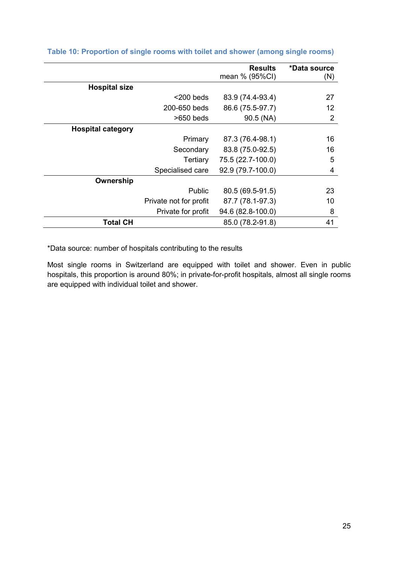|                          |                        | <b>Results</b><br>mean % (95%CI) | *Data source<br>(N) |
|--------------------------|------------------------|----------------------------------|---------------------|
| <b>Hospital size</b>     |                        |                                  |                     |
|                          | $<$ 200 beds           | 83.9 (74.4-93.4)                 | 27                  |
|                          | 200-650 beds           | 86.6 (75.5-97.7)                 | 12                  |
|                          | $>650$ beds            | 90.5 (NA)                        | 2                   |
| <b>Hospital category</b> |                        |                                  |                     |
|                          | Primary                | 87.3 (76.4-98.1)                 | 16                  |
|                          | Secondary              | 83.8 (75.0-92.5)                 | 16                  |
|                          | Tertiary               | 75.5 (22.7-100.0)                | 5                   |
|                          | Specialised care       | 92.9 (79.7-100.0)                | 4                   |
| Ownership                |                        |                                  |                     |
|                          | Public                 | 80.5 (69.5-91.5)                 | 23                  |
|                          | Private not for profit | 87.7 (78.1-97.3)                 | 10                  |
|                          | Private for profit     | 94.6 (82.8-100.0)                | 8                   |
| <b>Total CH</b>          |                        | 85.0 (78.2-91.8)                 | 41                  |

## **Table 10: Proportion of single rooms with toilet and shower (among single rooms)**

\*Data source: number of hospitals contributing to the results

Most single rooms in Switzerland are equipped with toilet and shower. Even in public hospitals, this proportion is around 80%; in private-for-profit hospitals, almost all single rooms are equipped with individual toilet and shower.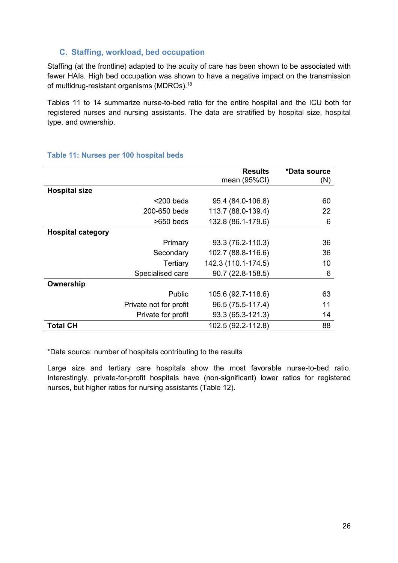## **C. Staffing, workload, bed occupation**

Staffing (at the frontline) adapted to the acuity of care has been shown to be associated with fewer HAIs. High bed occupation was shown to have a negative impact on the transmission of multidrug-resistant organisms (MDROs).<sup>18</sup>

Tables 11 to 14 summarize nurse-to-bed ratio for the entire hospital and the ICU both for registered nurses and nursing assistants. The data are stratified by hospital size, hospital type, and ownership.

|                          |                        | <b>Results</b><br>mean (95%CI) | *Data source<br>(N) |
|--------------------------|------------------------|--------------------------------|---------------------|
| <b>Hospital size</b>     |                        |                                |                     |
|                          | $<$ 200 beds           | 95.4 (84.0-106.8)              | 60                  |
|                          | 200-650 beds           | 113.7 (88.0-139.4)             | 22                  |
|                          | $>650$ beds            | 132.8 (86.1-179.6)             | 6                   |
| <b>Hospital category</b> |                        |                                |                     |
|                          | Primary                | 93.3 (76.2-110.3)              | 36                  |
|                          | Secondary              | 102.7 (88.8-116.6)             | 36                  |
|                          | Tertiary               | 142.3 (110.1-174.5)            | 10                  |
|                          | Specialised care       | 90.7 (22.8-158.5)              | 6                   |
| Ownership                |                        |                                |                     |
|                          | Public                 | 105.6 (92.7-118.6)             | 63                  |
|                          | Private not for profit | 96.5 (75.5-117.4)              | 11                  |
|                          | Private for profit     | 93.3 (65.3-121.3)              | 14                  |
| <b>Total CH</b>          |                        | 102.5 (92.2-112.8)             | 88                  |

#### **Table 11: Nurses per 100 hospital beds**

\*Data source: number of hospitals contributing to the results

Large size and tertiary care hospitals show the most favorable nurse-to-bed ratio. Interestingly, private-for-profit hospitals have (non-significant) lower ratios for registered nurses, but higher ratios for nursing assistants (Table 12).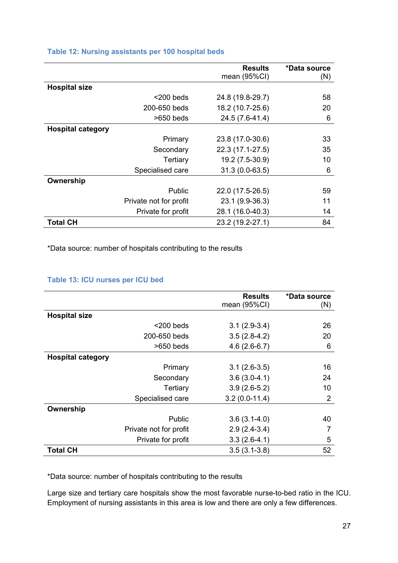|                          |                        | <b>Results</b>   | *Data source |
|--------------------------|------------------------|------------------|--------------|
|                          |                        | mean (95%CI)     | (N)          |
| <b>Hospital size</b>     |                        |                  |              |
|                          | $<$ 200 beds           | 24.8 (19.8-29.7) | 58           |
|                          | 200-650 beds           | 18.2 (10.7-25.6) | 20           |
|                          | $>650$ beds            | 24.5 (7.6-41.4)  | 6            |
| <b>Hospital category</b> |                        |                  |              |
|                          | Primary                | 23.8 (17.0-30.6) | 33           |
|                          | Secondary              | 22.3 (17.1-27.5) | 35           |
|                          | Tertiary               | 19.2 (7.5-30.9)  | 10           |
|                          | Specialised care       | $31.3(0.0-63.5)$ | 6            |
| Ownership                |                        |                  |              |
|                          | Public                 | 22.0 (17.5-26.5) | 59           |
|                          | Private not for profit | 23.1 (9.9-36.3)  | 11           |
|                          | Private for profit     | 28.1 (16.0-40.3) | 14           |
| <b>Total CH</b>          |                        | 23.2 (19.2-27.1) | 84           |

#### **Table 12: Nursing assistants per 100 hospital beds**

\*Data source: number of hospitals contributing to the results

### **Table 13: ICU nurses per ICU bed**

|                          |                        | <b>Results</b>  | *Data source   |
|--------------------------|------------------------|-----------------|----------------|
|                          |                        | mean (95%CI)    | (N)            |
| <b>Hospital size</b>     |                        |                 |                |
|                          | $<$ 200 beds           | $3.1(2.9-3.4)$  | 26             |
|                          | 200-650 beds           | $3.5(2.8-4.2)$  | 20             |
|                          | $>650$ beds            | $4.6(2.6-6.7)$  | 6              |
| <b>Hospital category</b> |                        |                 |                |
|                          | Primary                | $3.1(2.6-3.5)$  | 16             |
|                          | Secondary              | $3.6(3.0-4.1)$  | 24             |
|                          | Tertiary               | $3.9(2.6-5.2)$  | 10             |
|                          | Specialised care       | $3.2(0.0-11.4)$ | $\overline{2}$ |
| Ownership                |                        |                 |                |
|                          | <b>Public</b>          | $3.6(3.1-4.0)$  | 40             |
|                          | Private not for profit | $2.9(2.4-3.4)$  |                |
|                          | Private for profit     | $3.3(2.6-4.1)$  | 5              |
| <b>Total CH</b>          |                        | $3.5(3.1-3.8)$  | 52             |

\*Data source: number of hospitals contributing to the results

Large size and tertiary care hospitals show the most favorable nurse-to-bed ratio in the ICU. Employment of nursing assistants in this area is low and there are only a few differences.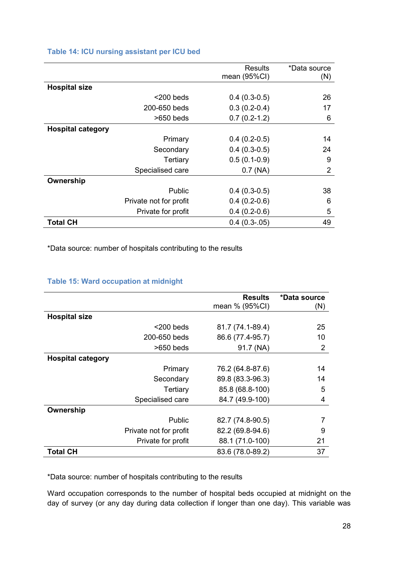#### **Table 14: ICU nursing assistant per ICU bed**

|                          |                        | <b>Results</b>  | *Data source   |
|--------------------------|------------------------|-----------------|----------------|
|                          |                        | mean (95%CI)    | (N)            |
| <b>Hospital size</b>     |                        |                 |                |
|                          | $<$ 200 beds           | $0.4(0.3-0.5)$  | 26             |
|                          | 200-650 beds           | $0.3(0.2-0.4)$  | 17             |
|                          | $>650$ beds            | $0.7(0.2-1.2)$  | 6              |
| <b>Hospital category</b> |                        |                 |                |
|                          | Primary                | $0.4(0.2-0.5)$  | 14             |
|                          | Secondary              | $0.4(0.3-0.5)$  | 24             |
|                          | Tertiary               | $0.5(0.1-0.9)$  | 9              |
|                          | Specialised care       | $0.7$ (NA)      | $\overline{2}$ |
| Ownership                |                        |                 |                |
|                          | Public                 | $0.4(0.3-0.5)$  | 38             |
|                          | Private not for profit | $0.4(0.2-0.6)$  | 6              |
|                          | Private for profit     | $0.4(0.2-0.6)$  | 5              |
| <b>Total CH</b>          |                        | $0.4(0.3-0.05)$ | 49             |

\*Data source: number of hospitals contributing to the results

|                          |                        | <b>Results</b>   | *Data source |
|--------------------------|------------------------|------------------|--------------|
|                          |                        | mean % (95%CI)   | (N)          |
| <b>Hospital size</b>     |                        |                  |              |
|                          | $<$ 200 beds           | 81.7 (74.1-89.4) | 25           |
|                          | 200-650 beds           | 86.6 (77.4-95.7) | 10           |
|                          | $>650$ beds            | 91.7 (NA)        | 2            |
| <b>Hospital category</b> |                        |                  |              |
|                          | Primary                | 76.2 (64.8-87.6) | 14           |
|                          | Secondary              | 89.8 (83.3-96.3) | 14           |
|                          | Tertiary               | 85.8 (68.8-100)  | 5            |
|                          | Specialised care       | 84.7 (49.9-100)  | 4            |
| Ownership                |                        |                  |              |
|                          | <b>Public</b>          | 82.7 (74.8-90.5) |              |
|                          | Private not for profit | 82.2 (69.8-94.6) | 9            |
|                          | Private for profit     | 88.1 (71.0-100)  | 21           |
| <b>Total CH</b>          |                        | 83.6 (78.0-89.2) | 37           |

\*Data source: number of hospitals contributing to the results

Ward occupation corresponds to the number of hospital beds occupied at midnight on the day of survey (or any day during data collection if longer than one day). This variable was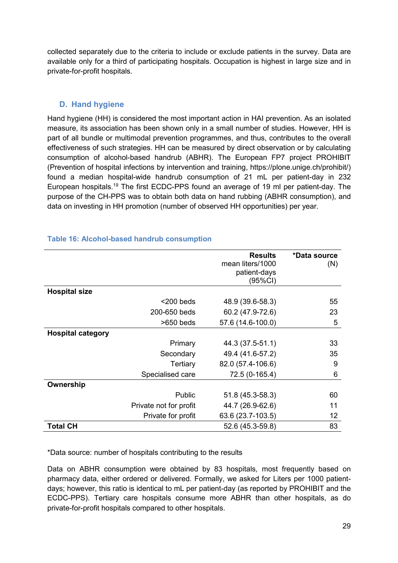collected separately due to the criteria to include or exclude patients in the survey. Data are available only for a third of participating hospitals. Occupation is highest in large size and in private-for-profit hospitals.

## **D. Hand hygiene**

Hand hygiene (HH) is considered the most important action in HAI prevention. As an isolated measure, its association has been shown only in a small number of studies. However, HH is part of all bundle or multimodal prevention programmes, and thus, contributes to the overall effectiveness of such strategies. HH can be measured by direct observation or by calculating consumption of alcohol-based handrub (ABHR). The European FP7 project PROHIBIT (Prevention of hospital infections by intervention and training, https://plone.unige.ch/prohibit/) found a median hospital-wide handrub consumption of 21 mL per patient-day in 232 European hospitals.<sup>19</sup> The first ECDC-PPS found an average of 19 ml per patient-day. The purpose of the CH-PPS was to obtain both data on hand rubbing (ABHR consumption), and data on investing in HH promotion (number of observed HH opportunities) per year.

|                          |                        | <b>Results</b><br>mean liters/1000<br>patient-days<br>(95%CI) | *Data source<br>(N) |
|--------------------------|------------------------|---------------------------------------------------------------|---------------------|
| <b>Hospital size</b>     |                        |                                                               |                     |
|                          | $<$ 200 beds           | 48.9 (39.6-58.3)                                              | 55                  |
|                          | 200-650 beds           | 60.2 (47.9-72.6)                                              | 23                  |
|                          | $>650$ beds            | 57.6 (14.6-100.0)                                             | 5                   |
| <b>Hospital category</b> |                        |                                                               |                     |
|                          | Primary                | 44.3 (37.5-51.1)                                              | 33                  |
|                          | Secondary              | 49.4 (41.6-57.2)                                              | 35                  |
|                          | Tertiary               | 82.0 (57.4-106.6)                                             | 9                   |
|                          | Specialised care       | 72.5 (0-165.4)                                                | 6                   |
| Ownership                |                        |                                                               |                     |
|                          | Public                 | 51.8 (45.3-58.3)                                              | 60                  |
|                          | Private not for profit | 44.7 (26.9-62.6)                                              | 11                  |
|                          | Private for profit     | 63.6 (23.7-103.5)                                             | 12                  |
| <b>Total CH</b>          |                        | 52.6 (45.3-59.8)                                              | 83                  |

## **Table 16: Alcohol-based handrub consumption**

\*Data source: number of hospitals contributing to the results

Data on ABHR consumption were obtained by 83 hospitals, most frequently based on pharmacy data, either ordered or delivered. Formally, we asked for Liters per 1000 patientdays; however, this ratio is identical to mL per patient-day (as reported by PROHIBIT and the ECDC-PPS). Tertiary care hospitals consume more ABHR than other hospitals, as do private-for-profit hospitals compared to other hospitals.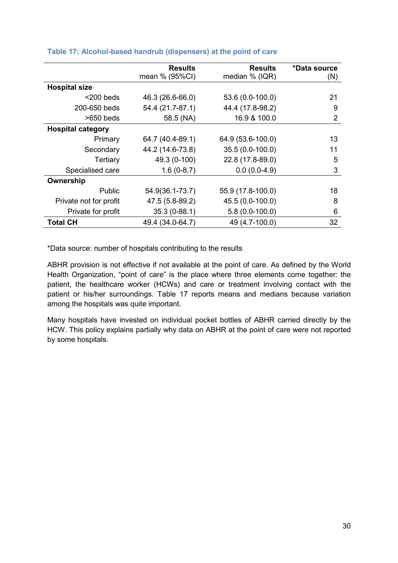|                          | <b>Results</b>   | <b>Results</b>    | *Data source   |
|--------------------------|------------------|-------------------|----------------|
|                          | mean % (95%CI)   | median % (IQR)    | (N)            |
| <b>Hospital size</b>     |                  |                   |                |
| $<$ 200 beds             | 46.3 (26.6-66.0) | 53.6 (0.0-100.0)  | 21             |
| 200-650 beds             | 54.4 (21.7-87.1) | 44.4 (17.8-98.2)  | 9              |
| $>650$ beds              | 58.5 (NA)        | 16.9 & 100.0      | $\overline{2}$ |
| <b>Hospital category</b> |                  |                   |                |
| Primary                  | 64.7 (40.4-89.1) | 64.9 (53.6-100.0) | 13             |
| Secondary                | 44.2 (14.6-73.8) | 35.5 (0.0-100.0)  | 11             |
| Tertiary                 | 49.3 (0-100)     | 22.8 (17.8-89.0)  | 5              |
| Specialised care         | $1.6(0-8.7)$     | $0.0(0.0-4.9)$    | 3              |
| Ownership                |                  |                   |                |
| Public                   | 54.9(36.1-73.7)  | 55.9 (17.8-100.0) | 18             |
| Private not for profit   | 47.5 (5.8-89.2)  | 45.5 (0.0-100.0)  | 8              |
| Private for profit       | $35.3(0-88.1)$   | $5.8(0.0-100.0)$  | 6              |
| Total CH                 | 49.4 (34.0-64.7) | 49 (4.7-100.0)    | 32             |

#### **Table 17: Alcohol-based handrub (dispensers) at the point of care**

\*Data source: number of hospitals contributing to the results

ABHR provision is not effective if not available at the point of care. As defined by the World Health Organization, "point of care" is the place where three elements come together: the patient, the healthcare worker (HCWs) and care or treatment involving contact with the patient or his/her surroundings. Table 17 reports means and medians because variation among the hospitals was quite important.

Many hospitals have invested on individual pocket bottles of ABHR carried directly by the HCW. This policy explains partially why data on ABHR at the point of care were not reported by some hospitals.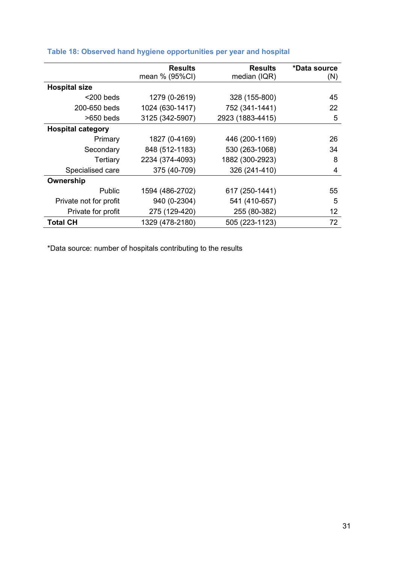|                          | <b>Results</b>  | <b>Results</b>   | *Data source |
|--------------------------|-----------------|------------------|--------------|
|                          | mean % (95%CI)  | median (IQR)     | (N)          |
| <b>Hospital size</b>     |                 |                  |              |
| $<$ 200 beds             | 1279 (0-2619)   | 328 (155-800)    | 45           |
| 200-650 beds             | 1024 (630-1417) | 752 (341-1441)   | 22           |
| $>650$ beds              | 3125 (342-5907) | 2923 (1883-4415) | 5            |
| <b>Hospital category</b> |                 |                  |              |
| Primary                  | 1827 (0-4169)   | 446 (200-1169)   | 26           |
| Secondary                | 848 (512-1183)  | 530 (263-1068)   | 34           |
| <b>Tertiary</b>          | 2234 (374-4093) | 1882 (300-2923)  | 8            |
| Specialised care         | 375 (40-709)    | 326 (241-410)    | 4            |
| Ownership                |                 |                  |              |
| <b>Public</b>            | 1594 (486-2702) | 617 (250-1441)   | 55           |
| Private not for profit   | 940 (0-2304)    | 541 (410-657)    | 5            |
| Private for profit       | 275 (129-420)   | 255 (80-382)     | 12           |
| <b>Total CH</b>          | 1329 (478-2180) | 505 (223-1123)   | 72           |

# **Table 18: Observed hand hygiene opportunities per year and hospital**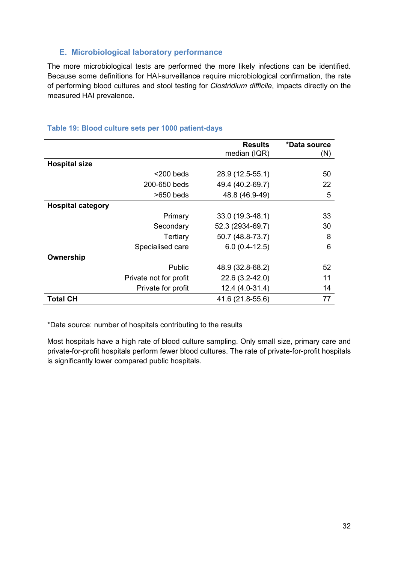## **E. Microbiological laboratory performance**

The more microbiological tests are performed the more likely infections can be identified. Because some definitions for HAI-surveillance require microbiological confirmation, the rate of performing blood cultures and stool testing for *Clostridium difficile*, impacts directly on the measured HAI prevalence.

## **Table 19: Blood culture sets per 1000 patient-days**

|                          |                        | <b>Results</b><br>median (IQR) | *Data source<br>(N) |
|--------------------------|------------------------|--------------------------------|---------------------|
| <b>Hospital size</b>     |                        |                                |                     |
|                          | $<$ 200 beds           | 28.9 (12.5-55.1)               | 50                  |
|                          | 200-650 beds           | 49.4 (40.2-69.7)               | 22                  |
|                          | $>650$ beds            | 48.8 (46.9-49)                 | 5                   |
| <b>Hospital category</b> |                        |                                |                     |
|                          | Primary                | 33.0 (19.3-48.1)               | 33                  |
|                          | Secondary              | 52.3 (2934-69.7)               | 30                  |
|                          | Tertiary               | 50.7 (48.8-73.7)               | 8                   |
|                          | Specialised care       | $6.0(0.4-12.5)$                | 6                   |
| Ownership                |                        |                                |                     |
|                          | Public                 | 48.9 (32.8-68.2)               | 52                  |
|                          | Private not for profit | 22.6 (3.2-42.0)                | 11                  |
|                          | Private for profit     | 12.4 (4.0-31.4)                | 14                  |
| <b>Total CH</b>          |                        | 41.6 (21.8-55.6)               | 77                  |

\*Data source: number of hospitals contributing to the results

Most hospitals have a high rate of blood culture sampling. Only small size, primary care and private-for-profit hospitals perform fewer blood cultures. The rate of private-for-profit hospitals is significantly lower compared public hospitals.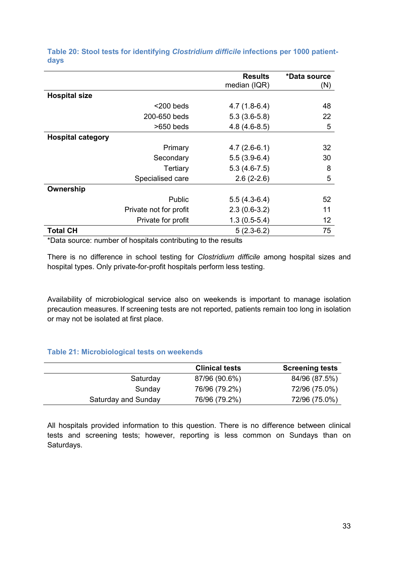|                          |                        | <b>Results</b> | *Data source |
|--------------------------|------------------------|----------------|--------------|
|                          |                        | median (IQR)   | (N)          |
| <b>Hospital size</b>     |                        |                |              |
|                          | $<$ 200 beds           | $4.7(1.8-6.4)$ | 48           |
|                          | 200-650 beds           | $5.3(3.6-5.8)$ | 22           |
|                          | $>650$ beds            | $4.8(4.6-8.5)$ | 5            |
| <b>Hospital category</b> |                        |                |              |
|                          | Primary                | $4.7(2.6-6.1)$ | 32           |
|                          | Secondary              | $5.5(3.9-6.4)$ | 30           |
|                          | Tertiary               | $5.3(4.6-7.5)$ | 8            |
|                          | Specialised care       | $2.6(2-2.6)$   | 5            |
| Ownership                |                        |                |              |
|                          | Public                 | $5.5(4.3-6.4)$ | 52           |
|                          | Private not for profit | $2.3(0.6-3.2)$ | 11           |
|                          | Private for profit     | $1.3(0.5-5.4)$ | 12           |
| <b>Total CH</b>          |                        | $5(2.3-6.2)$   | 75           |

**Table 20: Stool tests for identifying** *Clostridium difficile* **infections per 1000 patientdays** 

\*Data source: number of hospitals contributing to the results

There is no difference in school testing for *Clostridium difficile* among hospital sizes and hospital types. Only private-for-profit hospitals perform less testing.

Availability of microbiological service also on weekends is important to manage isolation precaution measures. If screening tests are not reported, patients remain too long in isolation or may not be isolated at first place.

#### **Table 21: Microbiological tests on weekends**

|                     | <b>Clinical tests</b> | <b>Screening tests</b> |
|---------------------|-----------------------|------------------------|
| Saturday            | 87/96 (90.6%)         | 84/96 (87.5%)          |
| Sunday              | 76/96 (79.2%)         | 72/96 (75.0%)          |
| Saturday and Sunday | 76/96 (79.2%)         | 72/96 (75.0%)          |

All hospitals provided information to this question. There is no difference between clinical tests and screening tests; however, reporting is less common on Sundays than on Saturdays.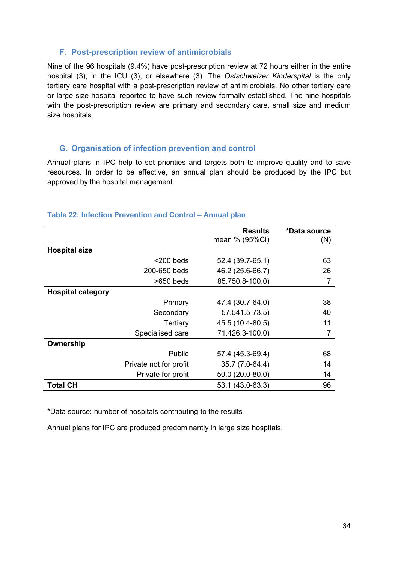### **F. Post-prescription review of antimicrobials**

Nine of the 96 hospitals (9.4%) have post-prescription review at 72 hours either in the entire hospital (3), in the ICU (3), or elsewhere (3). The *Ostschweizer Kinderspital* is the only tertiary care hospital with a post-prescription review of antimicrobials. No other tertiary care or large size hospital reported to have such review formally established. The nine hospitals with the post-prescription review are primary and secondary care, small size and medium size hospitals.

## **G. Organisation of infection prevention and control**

Annual plans in IPC help to set priorities and targets both to improve quality and to save resources. In order to be effective, an annual plan should be produced by the IPC but approved by the hospital management.

|                          |                        | <b>Results</b><br>mean % (95%CI) | *Data source<br>(N) |
|--------------------------|------------------------|----------------------------------|---------------------|
| <b>Hospital size</b>     |                        |                                  |                     |
|                          | $<$ 200 beds           | 52.4 (39.7-65.1)                 | 63                  |
|                          | 200-650 beds           | 46.2 (25.6-66.7)                 | 26                  |
|                          | $>650$ beds            | 85.750.8-100.0)                  |                     |
| <b>Hospital category</b> |                        |                                  |                     |
|                          | Primary                | 47.4 (30.7-64.0)                 | 38                  |
|                          | Secondary              | 57.541.5-73.5)                   | 40                  |
|                          | Tertiary               | 45.5 (10.4-80.5)                 | 11                  |
|                          | Specialised care       | 71.426.3-100.0)                  | 7                   |
| Ownership                |                        |                                  |                     |
|                          | <b>Public</b>          | 57.4 (45.3-69.4)                 | 68                  |
|                          | Private not for profit | 35.7 (7.0-64.4)                  | 14                  |
|                          | Private for profit     | 50.0 (20.0-80.0)                 | 14                  |
| <b>Total CH</b>          |                        | 53.1 (43.0-63.3)                 | 96                  |

#### **Table 22: Infection Prevention and Control – Annual plan**

\*Data source: number of hospitals contributing to the results

Annual plans for IPC are produced predominantly in large size hospitals.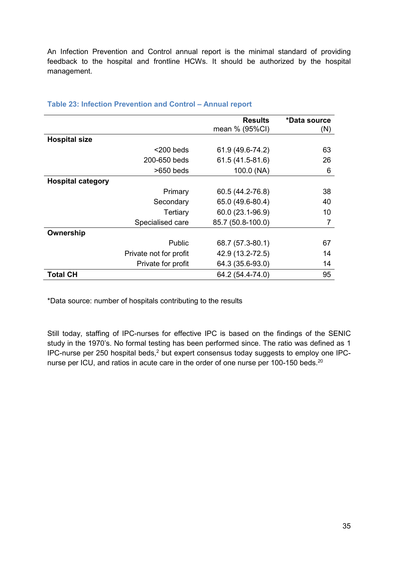An Infection Prevention and Control annual report is the minimal standard of providing feedback to the hospital and frontline HCWs. It should be authorized by the hospital management.

|                          |                        | <b>Results</b><br>mean % (95%CI) | *Data source<br>(N) |
|--------------------------|------------------------|----------------------------------|---------------------|
| <b>Hospital size</b>     |                        |                                  |                     |
|                          | $<$ 200 beds           | 61.9 (49.6-74.2)                 | 63                  |
|                          | 200-650 beds           | 61.5 (41.5-81.6)                 | 26                  |
|                          | $>650$ beds            | 100.0 (NA)                       | 6                   |
| <b>Hospital category</b> |                        |                                  |                     |
|                          | Primary                | 60.5 (44.2-76.8)                 | 38                  |
|                          | Secondary              | 65.0 (49.6-80.4)                 | 40                  |
|                          | Tertiary               | 60.0 (23.1-96.9)                 | 10                  |
|                          | Specialised care       | 85.7 (50.8-100.0)                | 7                   |
| Ownership                |                        |                                  |                     |
|                          | Public                 | 68.7 (57.3-80.1)                 | 67                  |
|                          | Private not for profit | 42.9 (13.2-72.5)                 | 14                  |
|                          | Private for profit     | 64.3 (35.6-93.0)                 | 14                  |
| <b>Total CH</b>          |                        | 64.2 (54.4-74.0)                 | 95                  |

#### **Table 23: Infection Prevention and Control – Annual report**

\*Data source: number of hospitals contributing to the results

Still today, staffing of IPC-nurses for effective IPC is based on the findings of the SENIC study in the 1970's. No formal testing has been performed since. The ratio was defined as 1 IPC-nurse per 250 hospital beds, $<sup>2</sup>$  but expert consensus today suggests to employ one IPC-</sup> nurse per ICU, and ratios in acute care in the order of one nurse per 100-150 beds.<sup>20</sup>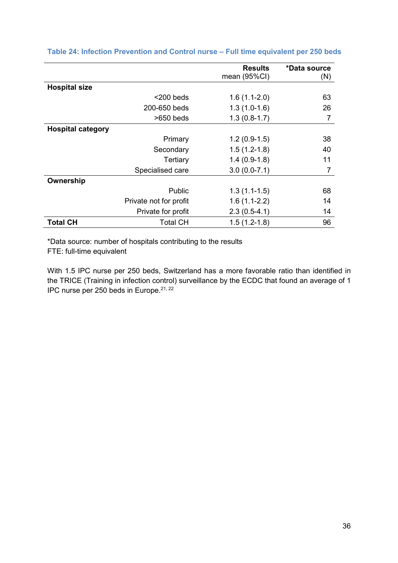|                          |                        | <b>Results</b> | *Data source |
|--------------------------|------------------------|----------------|--------------|
|                          |                        | mean (95%CI)   |              |
|                          |                        |                | (N)          |
| <b>Hospital size</b>     |                        |                |              |
|                          | $<$ 200 beds           | $1.6(1.1-2.0)$ | 63           |
|                          | 200-650 beds           | $1.3(1.0-1.6)$ | 26           |
|                          | $>650$ beds            | $1.3(0.8-1.7)$ | 7            |
| <b>Hospital category</b> |                        |                |              |
|                          | Primary                | $1.2(0.9-1.5)$ | 38           |
|                          | Secondary              | $1.5(1.2-1.8)$ | 40           |
|                          | Tertiary               | $1.4(0.9-1.8)$ | 11           |
|                          | Specialised care       | $3.0(0.0-7.1)$ | 7            |
| Ownership                |                        |                |              |
|                          | <b>Public</b>          | $1.3(1.1-1.5)$ | 68           |
|                          | Private not for profit | $1.6(1.1-2.2)$ | 14           |
|                          | Private for profit     | $2.3(0.5-4.1)$ | 14           |
| <b>Total CH</b>          | <b>Total CH</b>        | $1.5(1.2-1.8)$ | 96           |

### **Table 24: Infection Prevention and Control nurse – Full time equivalent per 250 beds**

\*Data source: number of hospitals contributing to the results

FTE: full-time equivalent

With 1.5 IPC nurse per 250 beds, Switzerland has a more favorable ratio than identified in the TRICE (Training in infection control) surveillance by the ECDC that found an average of 1 IPC nurse per 250 beds in Europe.21, 22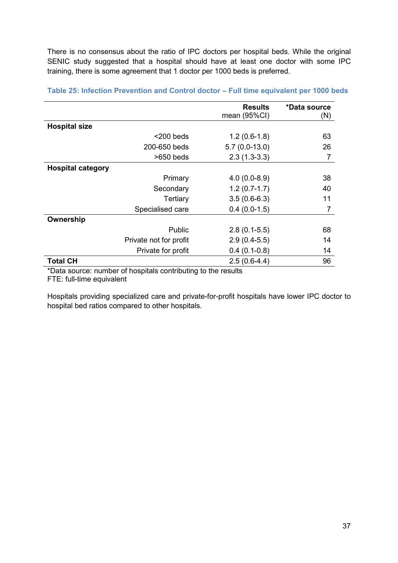There is no consensus about the ratio of IPC doctors per hospital beds. While the original SENIC study suggested that a hospital should have at least one doctor with some IPC training, there is some agreement that 1 doctor per 1000 beds is preferred.

|                          |                        | <b>Results</b>  | *Data source |
|--------------------------|------------------------|-----------------|--------------|
|                          |                        | mean (95%CI)    | (N)          |
| <b>Hospital size</b>     |                        |                 |              |
|                          | $<$ 200 beds           | $1.2(0.6-1.8)$  | 63           |
|                          | 200-650 beds           | $5.7(0.0-13.0)$ | 26           |
|                          | $>650$ beds            | $2.3(1.3-3.3)$  | 7            |
| <b>Hospital category</b> |                        |                 |              |
|                          | Primary                | $4.0(0.0-8.9)$  | 38           |
|                          | Secondary              | $1.2(0.7-1.7)$  | 40           |
|                          | Tertiary               | $3.5(0.6-6.3)$  | 11           |
|                          | Specialised care       | $0.4(0.0-1.5)$  | 7            |
| Ownership                |                        |                 |              |
|                          | Public                 | $2.8(0.1-5.5)$  | 68           |
|                          | Private not for profit | $2.9(0.4-5.5)$  | 14           |
|                          | Private for profit     | $0.4(0.1-0.8)$  | 14           |
| <b>Total CH</b>          |                        | $2.5(0.6-4.4)$  | 96           |

**Table 25: Infection Prevention and Control doctor – Full time equivalent per 1000 beds**

\*Data source: number of hospitals contributing to the results

FTE: full-time equivalent

Hospitals providing specialized care and private-for-profit hospitals have lower IPC doctor to hospital bed ratios compared to other hospitals.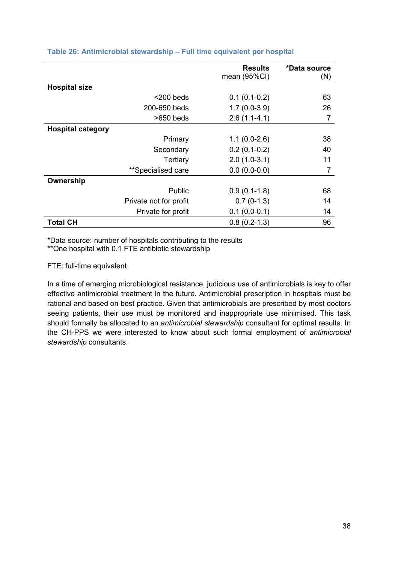|                          |                        | <b>Results</b> | *Data source |
|--------------------------|------------------------|----------------|--------------|
|                          |                        | mean (95%CI)   | (N)          |
| <b>Hospital size</b>     |                        |                |              |
|                          | $<$ 200 beds           | $0.1(0.1-0.2)$ | 63           |
|                          | 200-650 beds           | $1.7(0.0-3.9)$ | 26           |
|                          | $>650$ beds            | $2.6(1.1-4.1)$ | 7            |
| <b>Hospital category</b> |                        |                |              |
|                          | Primary                | $1.1(0.0-2.6)$ | 38           |
|                          | Secondary              | $0.2(0.1-0.2)$ | 40           |
|                          | Tertiary               | $2.0(1.0-3.1)$ | 11           |
|                          | **Specialised care     | $0.0(0.0-0.0)$ | 7            |
| Ownership                |                        |                |              |
|                          | <b>Public</b>          | $0.9(0.1-1.8)$ | 68           |
|                          | Private not for profit | $0.7(0-1.3)$   | 14           |
|                          | Private for profit     | $0.1(0.0-0.1)$ | 14           |
| <b>Total CH</b>          |                        | $0.8(0.2-1.3)$ | 96           |

## **Table 26: Antimicrobial stewardship – Full time equivalent per hospital**

\*Data source: number of hospitals contributing to the results

\*\*One hospital with 0.1 FTE antibiotic stewardship

FTE: full-time equivalent

In a time of emerging microbiological resistance, judicious use of antimicrobials is key to offer effective antimicrobial treatment in the future. Antimicrobial prescription in hospitals must be rational and based on best practice. Given that antimicrobials are prescribed by most doctors seeing patients, their use must be monitored and inappropriate use minimised. This task should formally be allocated to an *antimicrobial stewardship* consultant for optimal results. In the CH-PPS we were interested to know about such formal employment of *antimicrobial stewardship* consultants.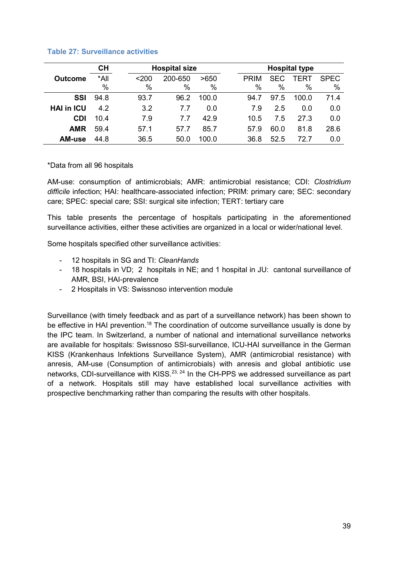|                   | <b>CH</b>    |                 | <b>Hospital size</b> |              |             |                         | <b>Hospital type</b> |                     |  |
|-------------------|--------------|-----------------|----------------------|--------------|-------------|-------------------------|----------------------|---------------------|--|
| <b>Outcome</b>    | *All<br>$\%$ | $<$ 200<br>$\%$ | 200-650<br>$\%$      | >650<br>$\%$ | <b>PRIM</b> | <b>SEC</b><br>$\%$<br>% | TFRT<br>$\%$         | <b>SPEC</b><br>$\%$ |  |
| SSI               | 94.8         | 93.7            | 96.2                 | 100.0        | 94.7        | 97.5                    | 100.0                | 71.4                |  |
| <b>HAI in ICU</b> | 4.2          | 3.2             | 7.7                  | 0.0          | 7.9         | 2.5                     | 0.0                  | 0.0                 |  |
| <b>CDI</b>        | 10.4         | 7.9             | 7.7                  | 42.9         | 10.5        | 7.5                     | 27.3                 | 0.0                 |  |
| <b>AMR</b>        | 59.4         | 57.1            | 57.7                 | 85.7         | 57.9        | 60.0                    | 81.8                 | 28.6                |  |
| <b>AM-use</b>     | 44.8         | 36.5            | 50.0                 | 100.0        | 36.8        | 52.5                    | 72.7                 | 0.0                 |  |

### **Table 27: Surveillance activities**

### \*Data from all 96 hospitals

AM-use: consumption of antimicrobials; AMR: antimicrobial resistance; CDI: *Clostridium difficile* infection; HAI: healthcare-associated infection; PRIM: primary care; SEC: secondary care; SPEC: special care; SSI: surgical site infection; TERT: tertiary care

This table presents the percentage of hospitals participating in the aforementioned surveillance activities, either these activities are organized in a local or wider/national level.

Some hospitals specified other surveillance activities:

- 12 hospitals in SG and TI: *CleanHands*
- 18 hospitals in VD; 2 hospitals in NE; and 1 hospital in JU: cantonal surveillance of AMR, BSI, HAI-prevalence
- 2 Hospitals in VS: Swissnoso intervention module

Surveillance (with timely feedback and as part of a surveillance network) has been shown to be effective in HAI prevention.<sup>18</sup> The coordination of outcome surveillance usually is done by the IPC team. In Switzerland, a number of national and international surveillance networks are available for hospitals: Swissnoso SSI-surveillance, ICU-HAI surveillance in the German KISS (Krankenhaus Infektions Surveillance System), AMR (antimicrobial resistance) with anresis, AM-use (Consumption of antimicrobials) with anresis and global antibiotic use networks, CDI-surveillance with KISS.<sup>23, 24</sup> In the CH-PPS we addressed surveillance as part of a network. Hospitals still may have established local surveillance activities with prospective benchmarking rather than comparing the results with other hospitals.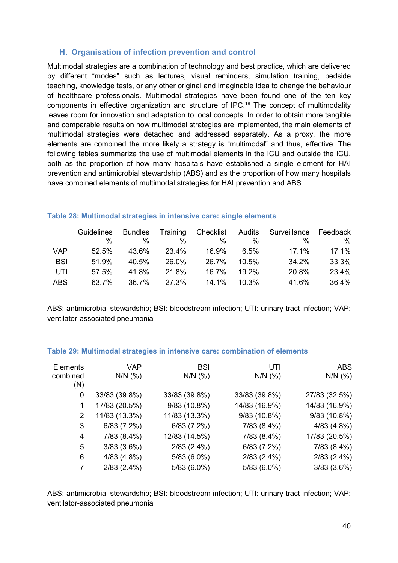# **H. Organisation of infection prevention and control**

Multimodal strategies are a combination of technology and best practice, which are delivered by different "modes" such as lectures, visual reminders, simulation training, bedside teaching, knowledge tests, or any other original and imaginable idea to change the behaviour of healthcare professionals. Multimodal strategies have been found one of the ten key components in effective organization and structure of IPC.<sup>18</sup> The concept of multimodality leaves room for innovation and adaptation to local concepts. In order to obtain more tangible and comparable results on how multimodal strategies are implemented, the main elements of multimodal strategies were detached and addressed separately. As a proxy, the more elements are combined the more likely a strategy is "multimodal" and thus, effective. The following tables summarize the use of multimodal elements in the ICU and outside the ICU, both as the proportion of how many hospitals have established a single element for HAI prevention and antimicrobial stewardship (ABS) and as the proportion of how many hospitals have combined elements of multimodal strategies for HAI prevention and ABS.

|            | Guidelines | <b>Bundles</b> | Training | Checklist | Audits   | Surveillance | Feedback |
|------------|------------|----------------|----------|-----------|----------|--------------|----------|
|            | $\%$       | %              | $\%$     | $\%$      | $\%$     | $\%$         | $\%$     |
| <b>VAP</b> | 52.5%      | 43.6%          | 23.4%    | 16.9%     | 6.5%     | 17.1%        | 17.1%    |
| <b>BSI</b> | 51.9%      | 40.5%          | 26.0%    | 26.7%     | 10.5%    | 34.2%        | 33.3%    |
| UTI        | 57.5%      | 41.8%          | 21.8%    | 16.7%     | $19.2\%$ | 20.8%        | 23.4%    |
| <b>ABS</b> | 63.7%      | 36.7%          | 27.3%    | 14.1%     | 10.3%    | 41.6%        | 36.4%    |

### **Table 28: Multimodal strategies in intensive care: single elements**

ABS: antimicrobial stewardship; BSI: bloodstream infection; UTI: urinary tract infection; VAP: ventilator-associated pneumonia

| <b>Elements</b><br>combined | <b>VAP</b><br>$N/N$ (%) | <b>BSI</b><br>$N/N$ (%) | UTI<br>$N/N$ (%) | <b>ABS</b><br>$N/N$ (%) |
|-----------------------------|-------------------------|-------------------------|------------------|-------------------------|
| (N)                         |                         |                         |                  |                         |
| 0                           | 33/83 (39.8%)           | 33/83 (39.8%)           | 33/83 (39.8%)    | 27/83 (32.5%)           |
|                             | 17/83 (20.5%)           | 9/83 (10.8%)            | 14/83 (16.9%)    | 14/83 (16.9%)           |
| 2                           | 11/83 (13.3%)           | 11/83 (13.3%)           | 9/83 (10.8%)     | 9/83 (10.8%)            |
| 3                           | 6/83(7.2%)              | 6/83(7.2%)              | 7/83 (8.4%)      | 4/83(4.8%)              |
| 4                           | $7/83(8.4\%)$           | 12/83 (14.5%)           | 7/83 (8.4%)      | 17/83 (20.5%)           |
| 5                           | 3/83(3.6%)              | $2/83$ (2.4%)           | 6/83(7.2%)       | 7/83 (8.4%)             |
| 6                           | 4/83(4.8%)              | $5/83(6.0\%)$           | $2/83$ (2.4%)    | $2/83$ (2.4%)           |
|                             | $2/83$ (2.4%)           | $5/83(6.0\%)$           | $5/83(6.0\%)$    | 3/83(3.6%)              |

### **Table 29: Multimodal strategies in intensive care: combination of elements**

ABS: antimicrobial stewardship; BSI: bloodstream infection; UTI: urinary tract infection; VAP: ventilator-associated pneumonia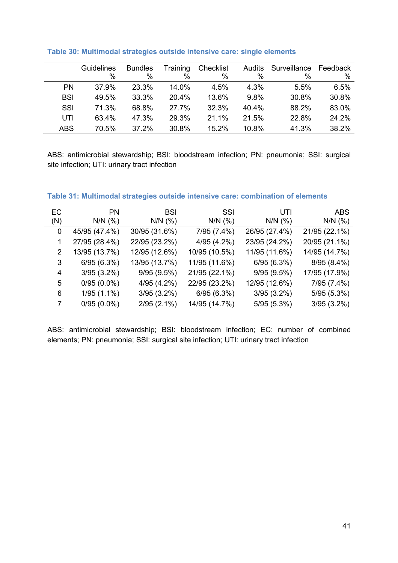|            | <b>Guidelines</b> | <b>Bundles</b> | Training | Checklist |       | Audits Surveillance | Feedback |
|------------|-------------------|----------------|----------|-----------|-------|---------------------|----------|
|            | $\%$              | %              | %        | %         | $\%$  | %                   | $\%$     |
| <b>PN</b>  | 37.9%             | 23.3%          | 14.0%    | 4.5%      | 4.3%  | 5.5%                | 6.5%     |
| <b>BSI</b> | 49.5%             | 33.3%          | 20.4%    | 13.6%     | 9.8%  | 30.8%               | 30.8%    |
| <b>SSI</b> | 71.3%             | 68.8%          | 27.7%    | 32.3%     | 40.4% | 88.2%               | 83.0%    |
| UTI        | 63.4%             | 47.3%          | 29.3%    | 21.1%     | 21.5% | 22.8%               | 24.2%    |
| <b>ABS</b> | 70.5%             | 37.2%          | 30.8%    | 15.2%     | 10.8% | 41.3%               | 38.2%    |

### **Table 30: Multimodal strategies outside intensive care: single elements**

ABS: antimicrobial stewardship; BSI: bloodstream infection; PN: pneumonia; SSI: surgical site infection; UTI: urinary tract infection

### **Table 31: Multimodal strategies outside intensive care: combination of elements**

| <b>EC</b> | <b>PN</b>     | <b>BSI</b>    | SSI           | UTI           | <b>ABS</b>    |
|-----------|---------------|---------------|---------------|---------------|---------------|
| (N)       | $N/N$ (%)     | $N/N$ (%)     | $N/N$ (%)     | $N/N$ (%)     | $N/N$ (%)     |
| 0         | 45/95 (47.4%) | 30/95 (31.6%) | 7/95 (7.4%)   | 26/95 (27.4%) | 21/95 (22.1%) |
|           | 27/95 (28.4%) | 22/95 (23.2%) | 4/95 (4.2%)   | 23/95 (24.2%) | 20/95 (21.1%) |
| 2         | 13/95 (13.7%) | 12/95 (12.6%) | 10/95 (10.5%) | 11/95 (11.6%) | 14/95 (14.7%) |
| 3         | 6/95(6.3%)    | 13/95 (13.7%) | 11/95 (11.6%) | 6/95(6.3%)    | 8/95 (8.4%)   |
| 4         | $3/95(3.2\%)$ | 9/95(9.5%)    | 21/95 (22.1%) | 9/95(9.5%)    | 17/95 (17.9%) |
| 5         | $0/95(0.0\%)$ | 4/95 (4.2%)   | 22/95 (23.2%) | 12/95 (12.6%) | 7/95 (7.4%)   |
| 6         | $1/95(1.1\%)$ | $3/95(3.2\%)$ | 6/95(6.3%)    | $3/95(3.2\%)$ | 5/95(5.3%)    |
| 7         | $0/95(0.0\%)$ | $2/95(2.1\%)$ | 14/95 (14.7%) | 5/95(5.3%)    | $3/95(3.2\%)$ |

ABS: antimicrobial stewardship; BSI: bloodstream infection; EC: number of combined elements; PN: pneumonia; SSI: surgical site infection; UTI: urinary tract infection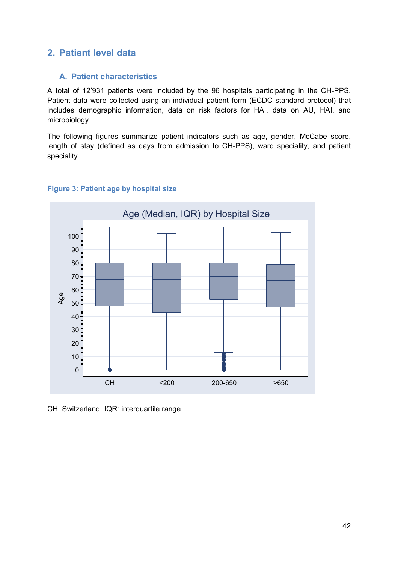# **2. Patient level data**

# **A. Patient characteristics**

A total of 12'931 patients were included by the 96 hospitals participating in the CH-PPS. Patient data were collected using an individual patient form (ECDC standard protocol) that includes demographic information, data on risk factors for HAI, data on AU, HAI, and microbiology.

The following figures summarize patient indicators such as age, gender, McCabe score, length of stay (defined as days from admission to CH-PPS), ward speciality, and patient speciality.



## **Figure 3: Patient age by hospital size**

CH: Switzerland; IQR: interquartile range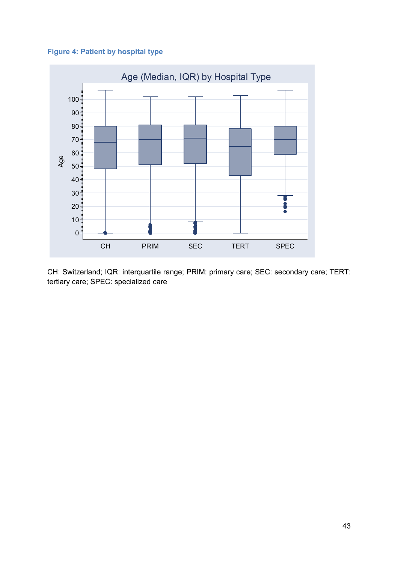



CH: Switzerland; IQR: interquartile range; PRIM: primary care; SEC: secondary care; TERT: tertiary care; SPEC: specialized care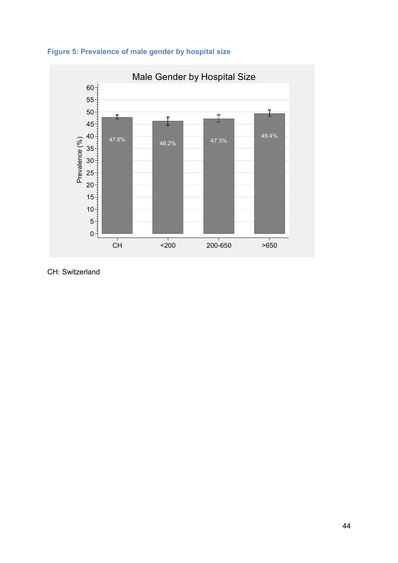



CH: Switzerland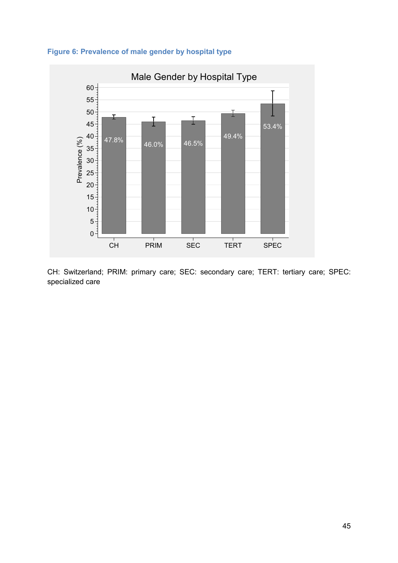



CH: Switzerland; PRIM: primary care; SEC: secondary care; TERT: tertiary care; SPEC: specialized care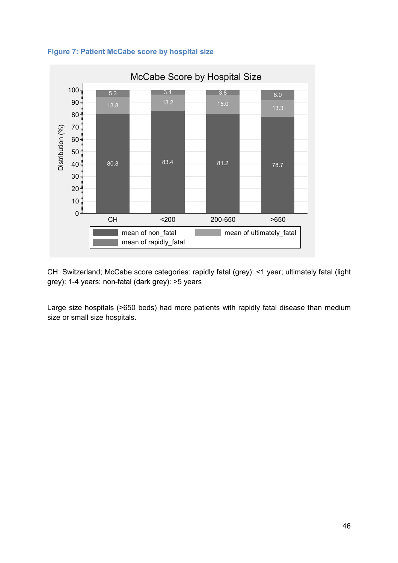



CH: Switzerland; McCabe score categories: rapidly fatal (grey): <1 year; ultimately fatal (light grey): 1-4 years; non-fatal (dark grey): >5 years

Large size hospitals (>650 beds) had more patients with rapidly fatal disease than medium size or small size hospitals.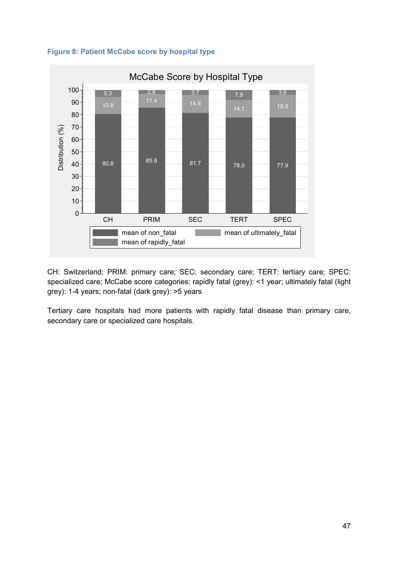



CH: Switzerland; PRIM: primary care; SEC: secondary care; TERT: tertiary care; SPEC: specialized care; McCabe score categories: rapidly fatal (grey): <1 year; ultimately fatal (light grey): 1-4 years; non-fatal (dark grey): >5 years

Tertiary care hospitals had more patients with rapidly fatal disease than primary care, secondary care or specialized care hospitals.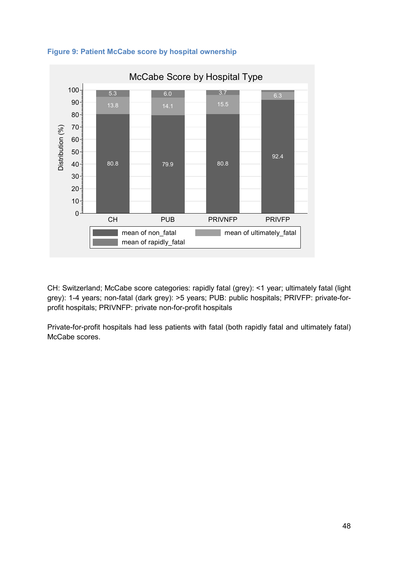

## **Figure 9: Patient McCabe score by hospital ownership**

CH: Switzerland; McCabe score categories: rapidly fatal (grey): <1 year; ultimately fatal (light grey): 1-4 years; non-fatal (dark grey): >5 years; PUB: public hospitals; PRIVFP: private-forprofit hospitals; PRIVNFP: private non-for-profit hospitals

Private-for-profit hospitals had less patients with fatal (both rapidly fatal and ultimately fatal) McCabe scores.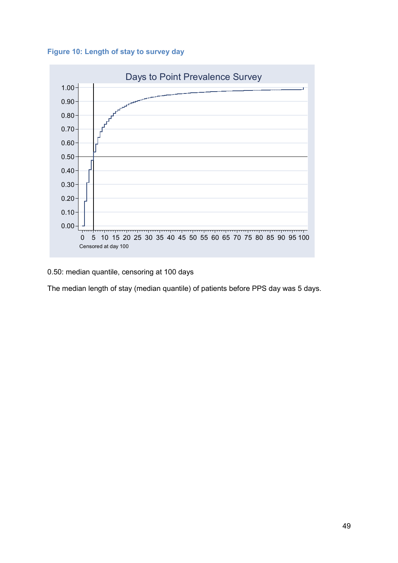**Figure 10: Length of stay to survey day** 



## 0.50: median quantile, censoring at 100 days

The median length of stay (median quantile) of patients before PPS day was 5 days.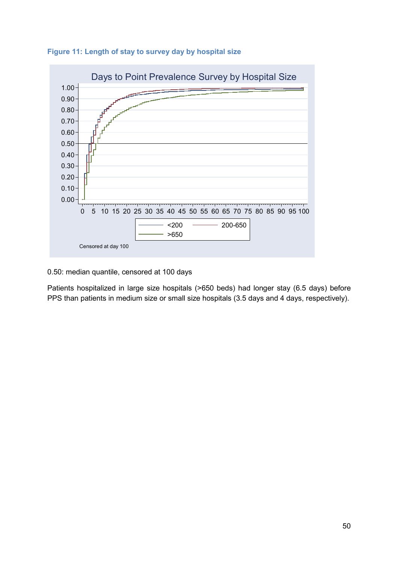



0.50: median quantile, censored at 100 days

Patients hospitalized in large size hospitals (>650 beds) had longer stay (6.5 days) before PPS than patients in medium size or small size hospitals (3.5 days and 4 days, respectively).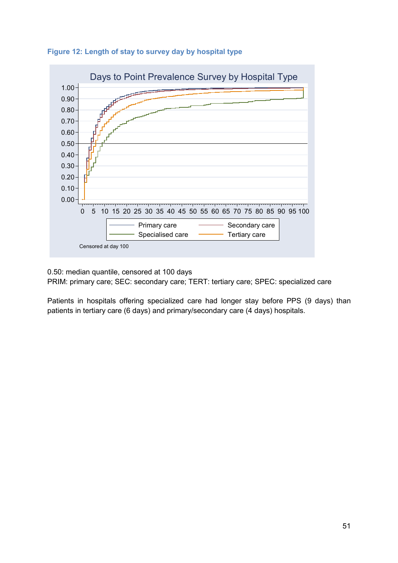



0.50: median quantile, censored at 100 days PRIM: primary care; SEC: secondary care; TERT: tertiary care; SPEC: specialized care

Patients in hospitals offering specialized care had longer stay before PPS (9 days) than patients in tertiary care (6 days) and primary/secondary care (4 days) hospitals.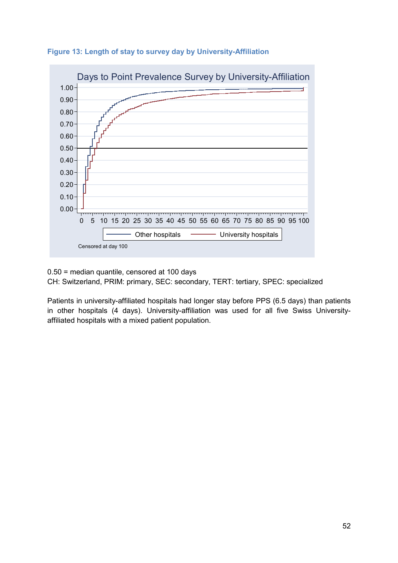



0.50 = median quantile, censored at 100 days CH: Switzerland, PRIM: primary, SEC: secondary, TERT: tertiary, SPEC: specialized

Patients in university-affiliated hospitals had longer stay before PPS (6.5 days) than patients in other hospitals (4 days). University-affiliation was used for all five Swiss Universityaffiliated hospitals with a mixed patient population.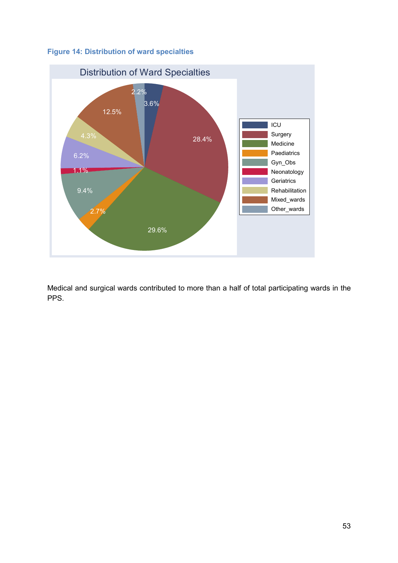



Medical and surgical wards contributed to more than a half of total participating wards in the PPS.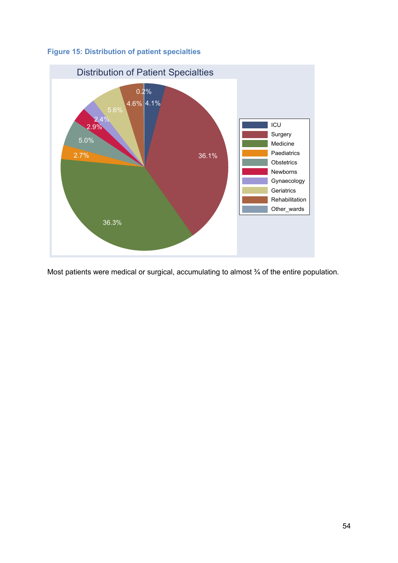



Most patients were medical or surgical, accumulating to almost  $\frac{3}{4}$  of the entire population.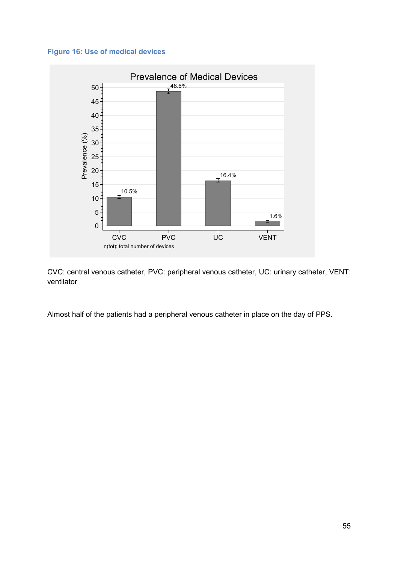



CVC: central venous catheter, PVC: peripheral venous catheter, UC: urinary catheter, VENT: ventilator

Almost half of the patients had a peripheral venous catheter in place on the day of PPS.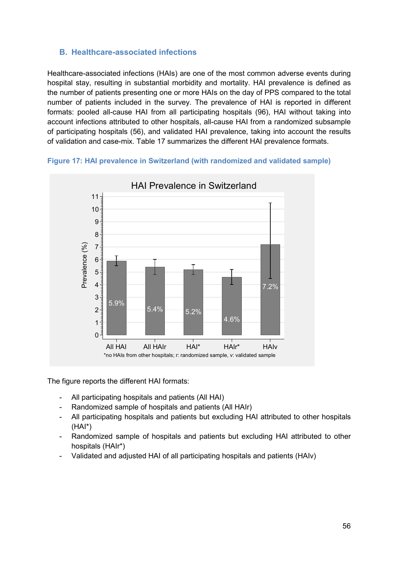# **B. Healthcare-associated infections**

Healthcare-associated infections (HAIs) are one of the most common adverse events during hospital stay, resulting in substantial morbidity and mortality. HAI prevalence is defined as the number of patients presenting one or more HAIs on the day of PPS compared to the total number of patients included in the survey. The prevalence of HAI is reported in different formats: pooled all-cause HAI from all participating hospitals (96), HAI without taking into account infections attributed to other hospitals, all-cause HAI from a randomized subsample of participating hospitals (56), and validated HAI prevalence, taking into account the results of validation and case-mix. Table 17 summarizes the different HAI prevalence formats.





The figure reports the different HAI formats:

- All participating hospitals and patients (All HAI)
- Randomized sample of hospitals and patients (All HAIr)
- All participating hospitals and patients but excluding HAI attributed to other hospitals (HAI\*)
- Randomized sample of hospitals and patients but excluding HAI attributed to other hospitals (HAIr\*)
- Validated and adjusted HAI of all participating hospitals and patients (HAIv)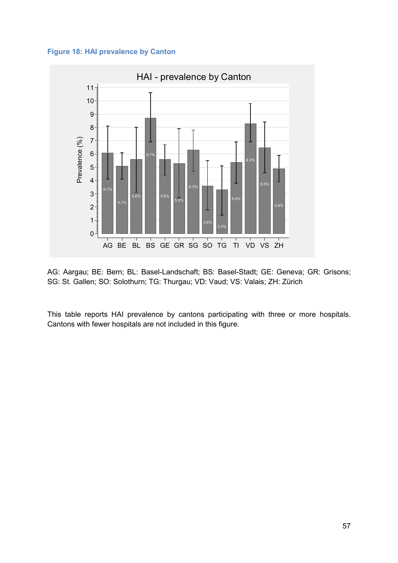



AG: Aargau; BE: Bern; BL: Basel-Landschaft; BS: Basel-Stadt; GE: Geneva; GR: Grisons; SG: St. Gallen; SO: Solothurn; TG: Thurgau; VD: Vaud; VS: Valais; ZH: Zürich

This table reports HAI prevalence by cantons participating with three or more hospitals. Cantons with fewer hospitals are not included in this figure.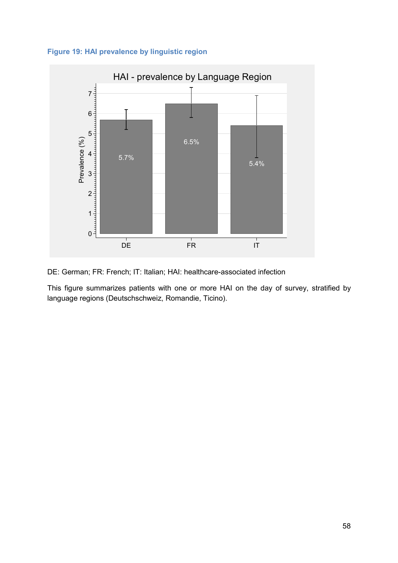



DE: German; FR: French; IT: Italian; HAI: healthcare-associated infection

This figure summarizes patients with one or more HAI on the day of survey, stratified by language regions (Deutschschweiz, Romandie, Ticino).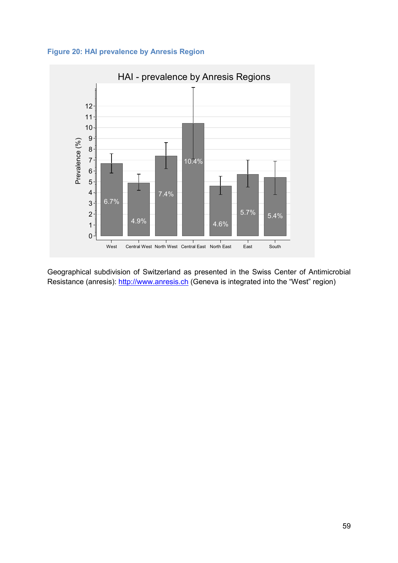



Geographical subdivision of Switzerland as presented in the Swiss Center of Antimicrobial Resistance (anresis): http://www.anresis.ch (Geneva is integrated into the "West" region)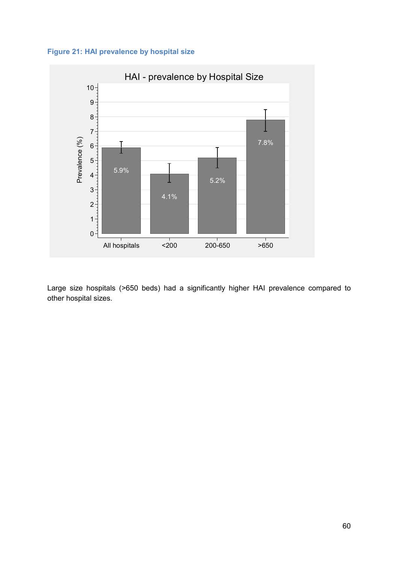



Large size hospitals (>650 beds) had a significantly higher HAI prevalence compared to other hospital sizes.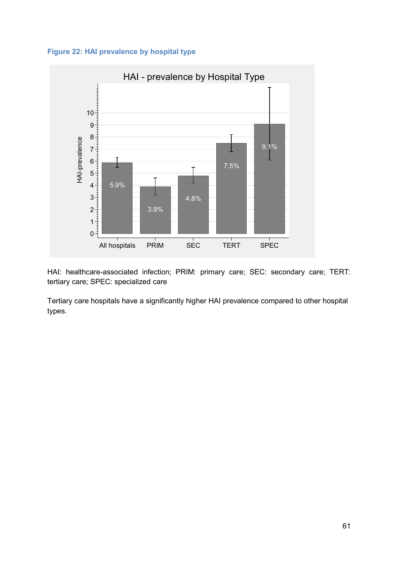



HAI: healthcare-associated infection; PRIM: primary care; SEC: secondary care; TERT: tertiary care; SPEC: specialized care

Tertiary care hospitals have a significantly higher HAI prevalence compared to other hospital types.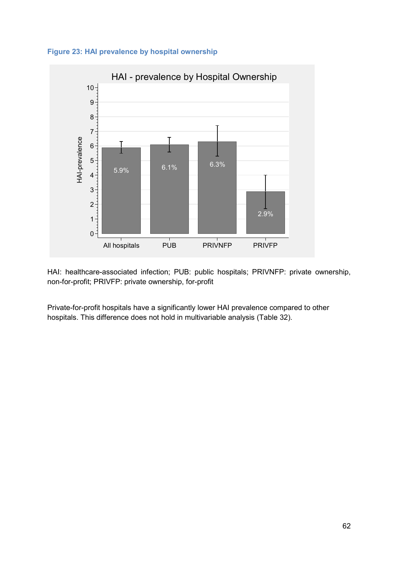



HAI: healthcare-associated infection; PUB: public hospitals; PRIVNFP: private ownership, non-for-profit; PRIVFP: private ownership, for-profit

Private-for-profit hospitals have a significantly lower HAI prevalence compared to other hospitals. This difference does not hold in multivariable analysis (Table 32).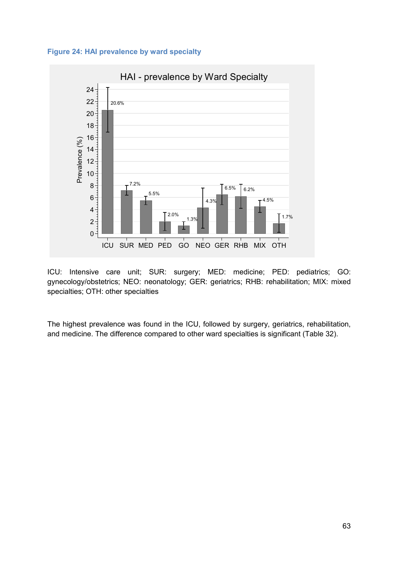



ICU: Intensive care unit; SUR: surgery; MED: medicine; PED: pediatrics; GO: gynecology/obstetrics; NEO: neonatology; GER: geriatrics; RHB: rehabilitation; MIX: mixed specialties; OTH: other specialties

The highest prevalence was found in the ICU, followed by surgery, geriatrics, rehabilitation, and medicine. The difference compared to other ward specialties is significant (Table 32).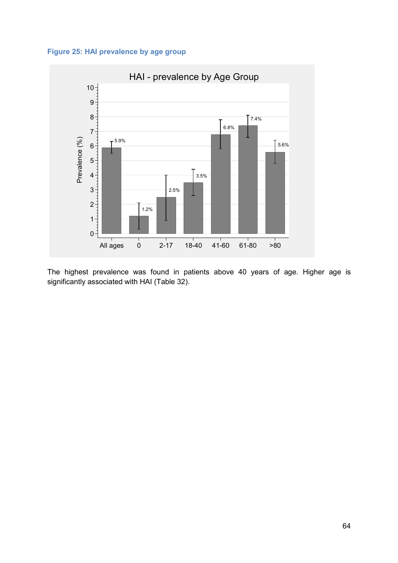



The highest prevalence was found in patients above 40 years of age. Higher age is significantly associated with HAI (Table 32).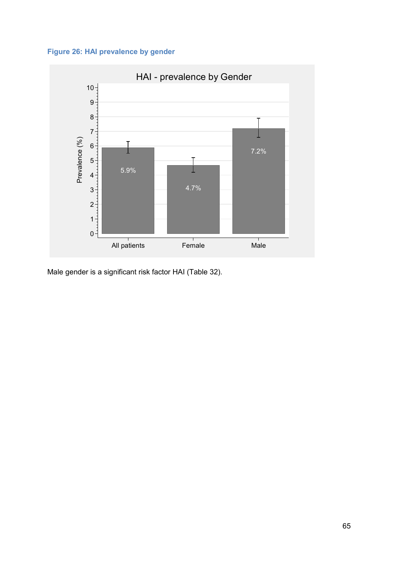



Male gender is a significant risk factor HAI (Table 32).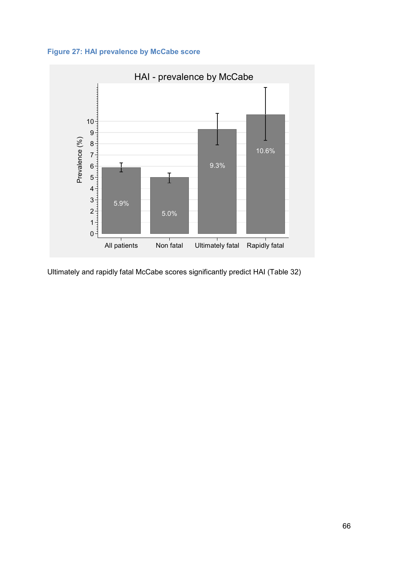



Ultimately and rapidly fatal McCabe scores significantly predict HAI (Table 32)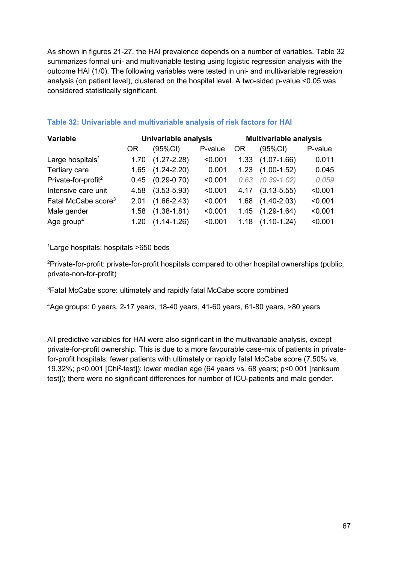As shown in figures 21-27, the HAI prevalence depends on a number of variables. Table 32 summarizes formal uni- and multivariable testing using logistic regression analysis with the outcome HAI (1/0). The following variables were tested in uni- and multivariable regression analysis (on patient level), clustered on the hospital level. A two-sided p-value <0.05 was considered statistically significant.

| <b>Variable</b>                 |      | Univariable analysis |         |           | <b>Multivariable analysis</b> |         |
|---------------------------------|------|----------------------|---------|-----------|-------------------------------|---------|
|                                 | 0R   | (95%CI)              | P-value | <b>OR</b> | (95%CI)                       | P-value |
| Large hospitals <sup>1</sup>    | 1.70 | $(1.27 - 2.28)$      | < 0.001 | 1.33      | $(1.07 - 1.66)$               | 0.011   |
| Tertiary care                   | 1.65 | $(1.24 - 2.20)$      | 0.001   | 1.23      | $(1.00-1.52)$                 | 0.045   |
| Private-for-profit <sup>2</sup> | 0.45 | $(0.29 - 0.70)$      | < 0.001 | 0.63      | $(0.39 - 1.02)$               | 0.059   |
| Intensive care unit             | 4.58 | $(3.53 - 5.93)$      | < 0.001 | 4.17      | $(3.13 - 5.55)$               | < 0.001 |
| Fatal McCabe score <sup>3</sup> | 2.01 | $(1.66 - 2.43)$      | < 0.001 | 1.68      | $(1.40 - 2.03)$               | < 0.001 |
| Male gender                     | 1.58 | $(1.38 - 1.81)$      | < 0.001 | 1.45      | $(1.29 - 1.64)$               | < 0.001 |
| Age group <sup>4</sup>          | 1.20 | $(1.14 - 1.26)$      | < 0.001 | 1.18      | $(1.10 - 1.24)$               | < 0.001 |

## **Table 32: Univariable and multivariable analysis of risk factors for HAI**

<sup>1</sup> Large hospitals: hospitals >650 beds

<sup>2</sup>Private-for-profit: private-for-profit hospitals compared to other hospital ownerships (public, private-non-for-profit)

<sup>3</sup>Fatal McCabe score: ultimately and rapidly fatal McCabe score combined

<sup>4</sup>Age groups: 0 years, 2-17 years, 18-40 years, 41-60 years, 61-80 years, >80 years

All predictive variables for HAI were also significant in the multivariable analysis, except private-for-profit ownership. This is due to a more favourable case-mix of patients in privatefor-profit hospitals: fewer patients with ultimately or rapidly fatal McCabe score (7.50% vs. 19.32%; p<0.001 [Chi<sup>2</sup> -test]); lower median age (64 years vs. 68 years; p<0.001 [ranksum test]); there were no significant differences for number of ICU-patients and male gender.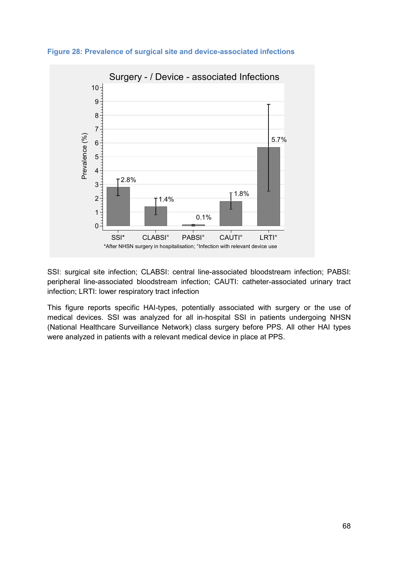

**Figure 28: Prevalence of surgical site and device-associated infections** 

SSI: surgical site infection; CLABSI: central line-associated bloodstream infection; PABSI: peripheral line-associated bloodstream infection; CAUTI: catheter-associated urinary tract infection; LRTI: lower respiratory tract infection

This figure reports specific HAI-types, potentially associated with surgery or the use of medical devices. SSI was analyzed for all in-hospital SSI in patients undergoing NHSN (National Healthcare Surveillance Network) class surgery before PPS. All other HAI types were analyzed in patients with a relevant medical device in place at PPS.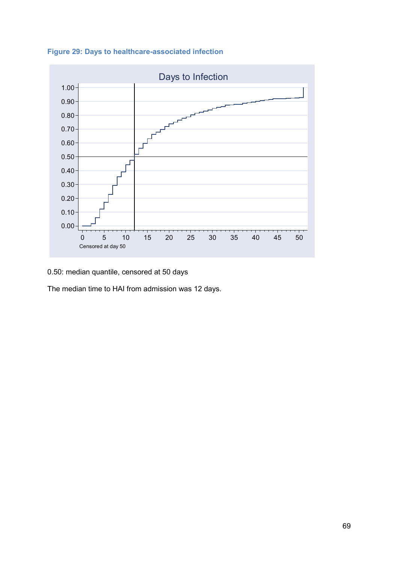



0.50: median quantile, censored at 50 days

The median time to HAI from admission was 12 days.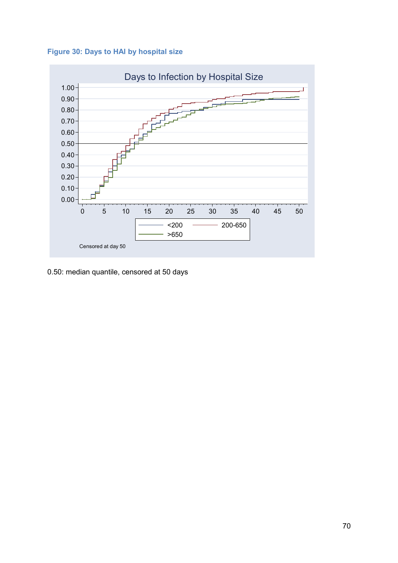



0.50: median quantile, censored at 50 days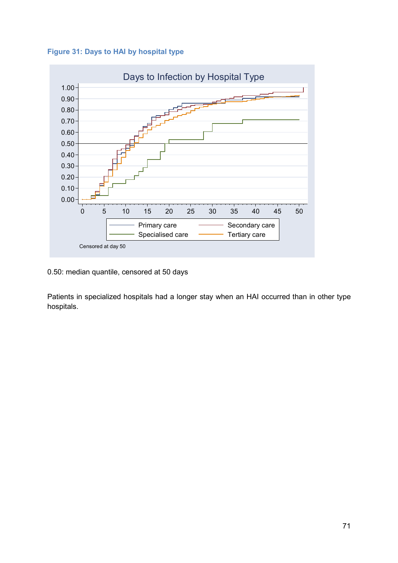**Figure 31: Days to HAI by hospital type** 



0.50: median quantile, censored at 50 days

Patients in specialized hospitals had a longer stay when an HAI occurred than in other type hospitals.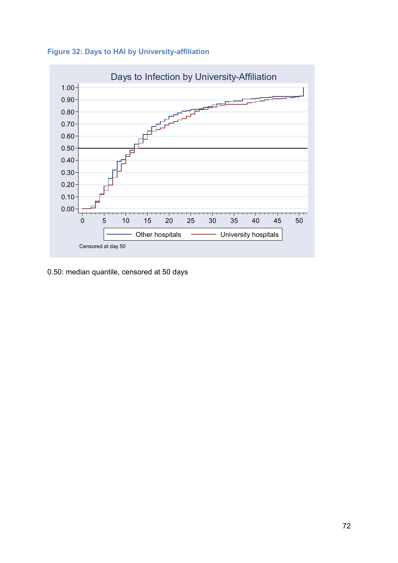



0.50: median quantile, censored at 50 days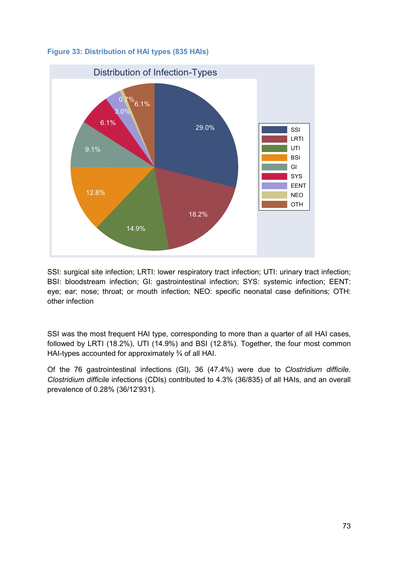



SSI: surgical site infection; LRTI: lower respiratory tract infection; UTI: urinary tract infection; BSI: bloodstream infection; GI: gastrointestinal infection; SYS: systemic infection; EENT: eye; ear; nose; throat; or mouth infection; NEO: specific neonatal case definitions; OTH: other infection

SSI was the most frequent HAI type, corresponding to more than a quarter of all HAI cases, followed by LRTI (18.2%), UTI (14.9%) and BSI (12.8%). Together, the four most common HAI-types accounted for approximately ¾ of all HAI.

Of the 76 gastrointestinal infections (GI), 36 (47.4%) were due to *Clostridium difficile*. *Clostridium difficile* infections (CDIs) contributed to 4.3% (36/835) of all HAIs, and an overall prevalence of 0.28% (36/12'931).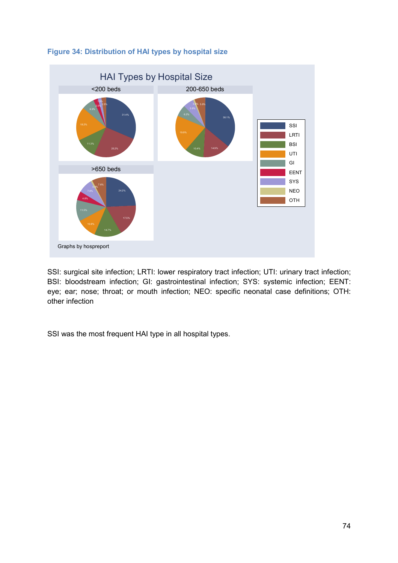

# **Figure 34: Distribution of HAI types by hospital size**

SSI: surgical site infection; LRTI: lower respiratory tract infection; UTI: urinary tract infection; BSI: bloodstream infection; GI: gastrointestinal infection; SYS: systemic infection; EENT: eye; ear; nose; throat; or mouth infection; NEO: specific neonatal case definitions; OTH: other infection

SSI was the most frequent HAI type in all hospital types.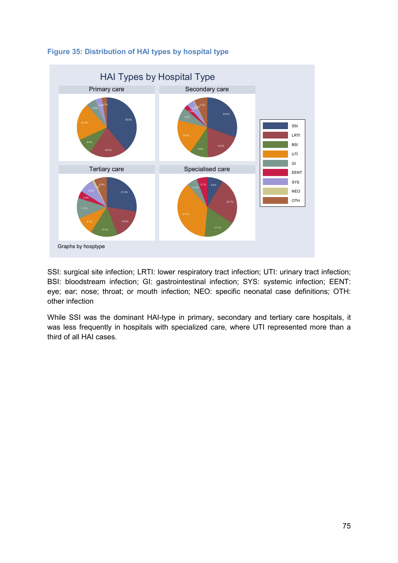

# **Figure 35: Distribution of HAI types by hospital type**

SSI: surgical site infection; LRTI: lower respiratory tract infection; UTI: urinary tract infection; BSI: bloodstream infection; GI: gastrointestinal infection; SYS: systemic infection; EENT: eye; ear; nose; throat; or mouth infection; NEO: specific neonatal case definitions; OTH: other infection

While SSI was the dominant HAI-type in primary, secondary and tertiary care hospitals, it was less frequently in hospitals with specialized care, where UTI represented more than a third of all HAI cases.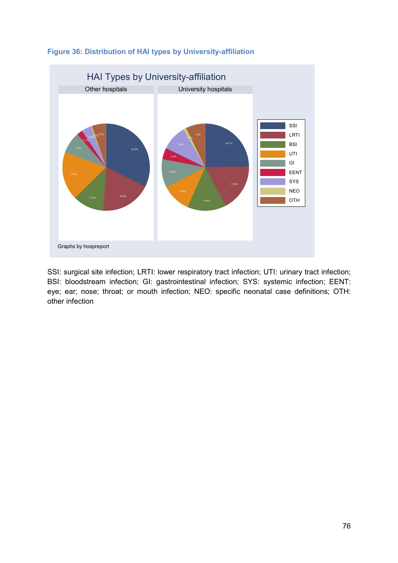

## **Figure 36: Distribution of HAI types by University-affiliation**

SSI: surgical site infection; LRTI: lower respiratory tract infection; UTI: urinary tract infection; BSI: bloodstream infection; GI: gastrointestinal infection; SYS: systemic infection; EENT: eye; ear; nose; throat; or mouth infection; NEO: specific neonatal case definitions; OTH: other infection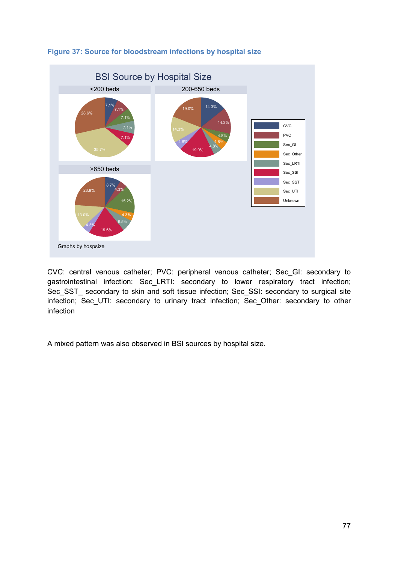

## **Figure 37: Source for bloodstream infections by hospital size**

CVC: central venous catheter; PVC: peripheral venous catheter; Sec\_GI: secondary to gastrointestinal infection; Sec\_LRTI: secondary to lower respiratory tract infection; Sec\_SST\_ secondary to skin and soft tissue infection; Sec\_SSI: secondary to surgical site infection; Sec\_UTI: secondary to urinary tract infection; Sec\_Other: secondary to other infection

A mixed pattern was also observed in BSI sources by hospital size.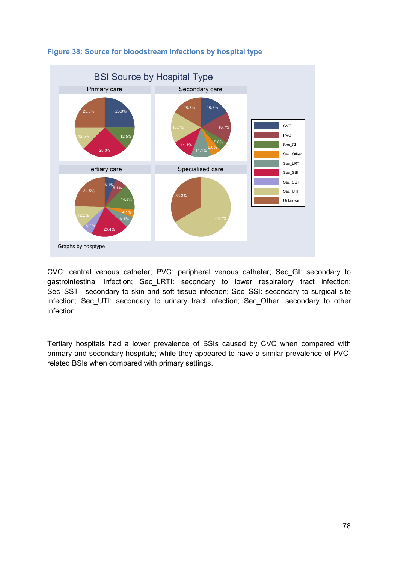

## **Figure 38: Source for bloodstream infections by hospital type**

CVC: central venous catheter; PVC: peripheral venous catheter; Sec\_GI: secondary to gastrointestinal infection; Sec\_LRTI: secondary to lower respiratory tract infection; Sec\_SST\_ secondary to skin and soft tissue infection; Sec\_SSI: secondary to surgical site infection; Sec\_UTI: secondary to urinary tract infection; Sec\_Other: secondary to other infection

Tertiary hospitals had a lower prevalence of BSIs caused by CVC when compared with primary and secondary hospitals; while they appeared to have a similar prevalence of PVCrelated BSIs when compared with primary settings.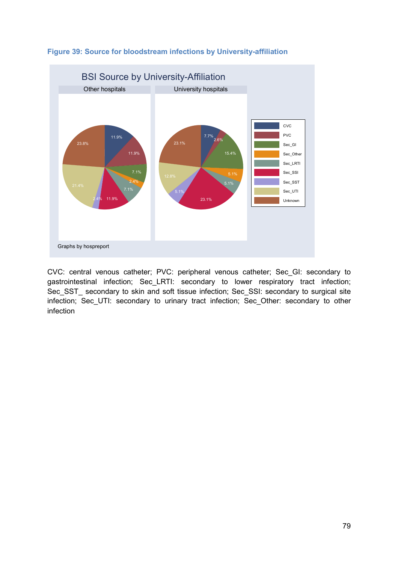

# **Figure 39: Source for bloodstream infections by University-affiliation**

CVC: central venous catheter; PVC: peripheral venous catheter; Sec\_GI: secondary to gastrointestinal infection; Sec\_LRTI: secondary to lower respiratory tract infection; Sec\_SST\_ secondary to skin and soft tissue infection; Sec\_SSI: secondary to surgical site infection; Sec\_UTI: secondary to urinary tract infection; Sec\_Other: secondary to other infection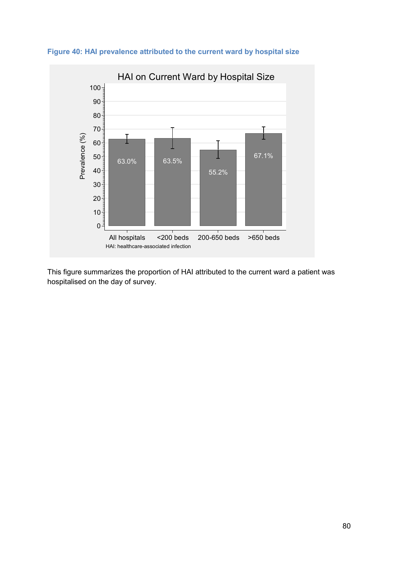

**Figure 40: HAI prevalence attributed to the current ward by hospital size** 

This figure summarizes the proportion of HAI attributed to the current ward a patient was hospitalised on the day of survey.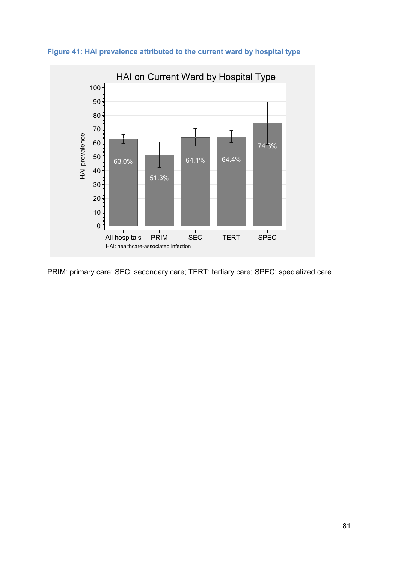

**Figure 41: HAI prevalence attributed to the current ward by hospital type** 

PRIM: primary care; SEC: secondary care; TERT: tertiary care; SPEC: specialized care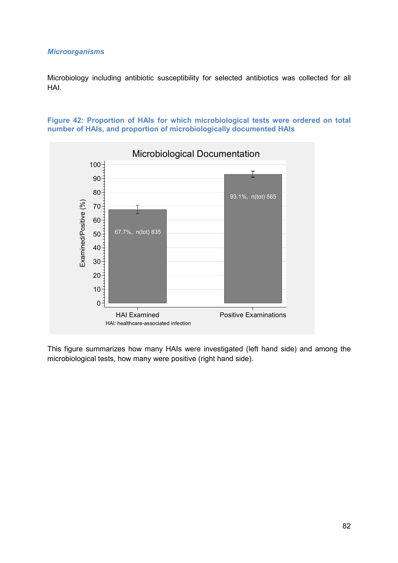#### *Microorganisms*

Microbiology including antibiotic susceptibility for selected antibiotics was collected for all HAI.





This figure summarizes how many HAIs were investigated (left hand side) and among the microbiological tests, how many were positive (right hand side).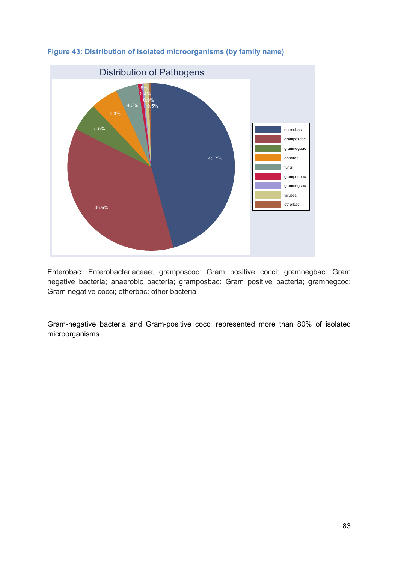

**Figure 43: Distribution of isolated microorganisms (by family name)** 

Enterobac: Enterobacteriaceae; gramposcoc: Gram positive cocci; gramnegbac: Gram negative bacteria; anaerobic bacteria; gramposbac: Gram positive bacteria; gramnegcoc: Gram negative cocci; otherbac: other bacteria

Gram-negative bacteria and Gram-positive cocci represented more than 80% of isolated microorganisms.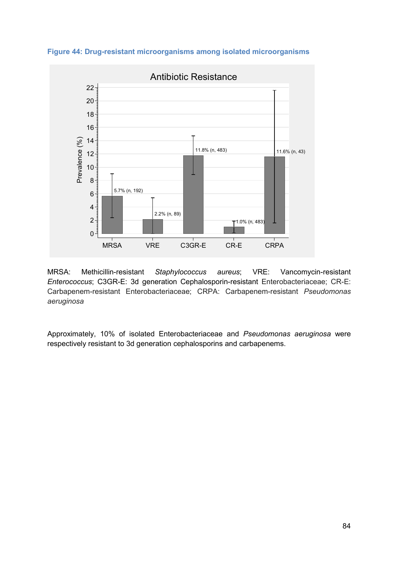**Figure 44: Drug-resistant microorganisms among isolated microorganisms** 



MRSA: Methicillin-resistant *Staphylococcus aureus*; VRE: Vancomycin-resistant *Enterococcus*; C3GR-E: 3d generation Cephalosporin-resistant Enterobacteriaceae; CR-E: Carbapenem-resistant Enterobacteriaceae; CRPA: Carbapenem-resistant *Pseudomonas aeruginosa*

Approximately, 10% of isolated Enterobacteriaceae and *Pseudomonas aeruginosa* were respectively resistant to 3d generation cephalosporins and carbapenems.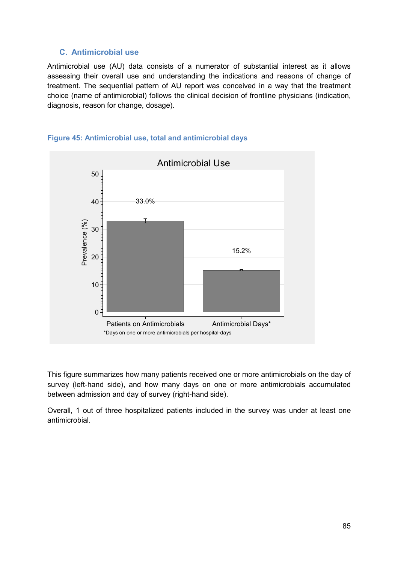# **C. Antimicrobial use**

Antimicrobial use (AU) data consists of a numerator of substantial interest as it allows assessing their overall use and understanding the indications and reasons of change of treatment. The sequential pattern of AU report was conceived in a way that the treatment choice (name of antimicrobial) follows the clinical decision of frontline physicians (indication, diagnosis, reason for change, dosage).



#### **Figure 45: Antimicrobial use, total and antimicrobial days**

This figure summarizes how many patients received one or more antimicrobials on the day of survey (left-hand side), and how many days on one or more antimicrobials accumulated between admission and day of survey (right-hand side).

Overall, 1 out of three hospitalized patients included in the survey was under at least one antimicrobial.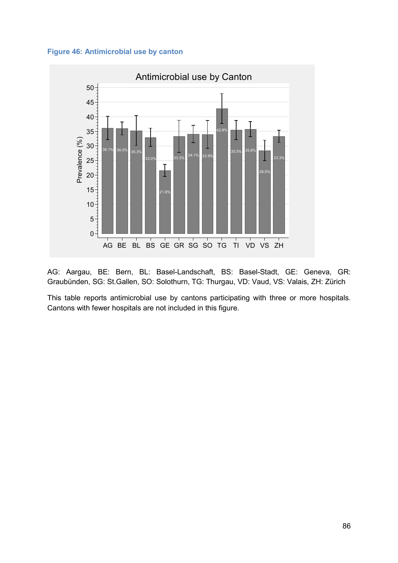



AG: Aargau, BE: Bern, BL: Basel-Landschaft, BS: Basel-Stadt, GE: Geneva, GR: Graubünden, SG: St.Gallen, SO: Solothurn, TG: Thurgau, VD: Vaud, VS: Valais, ZH: Zürich

This table reports antimicrobial use by cantons participating with three or more hospitals. Cantons with fewer hospitals are not included in this figure.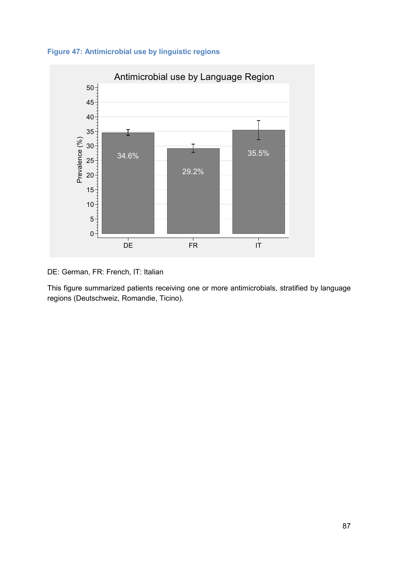



DE: German, FR: French, IT: Italian

This figure summarized patients receiving one or more antimicrobials, stratified by language regions (Deutschweiz, Romandie, Ticino).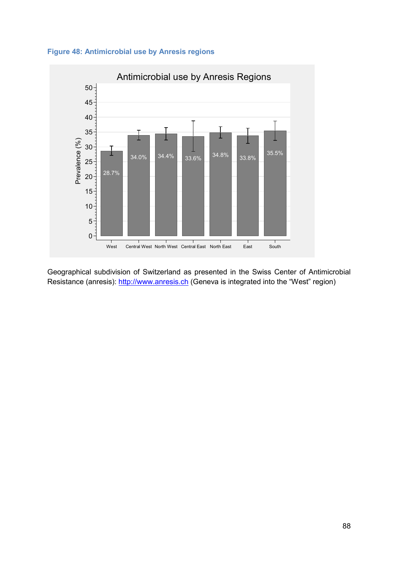



Geographical subdivision of Switzerland as presented in the Swiss Center of Antimicrobial Resistance (anresis): http://www.anresis.ch (Geneva is integrated into the "West" region)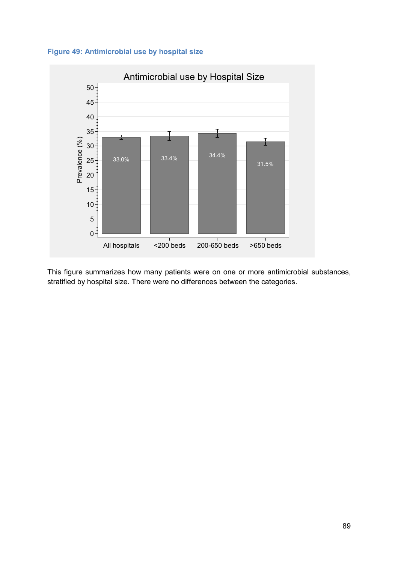



This figure summarizes how many patients were on one or more antimicrobial substances, stratified by hospital size. There were no differences between the categories.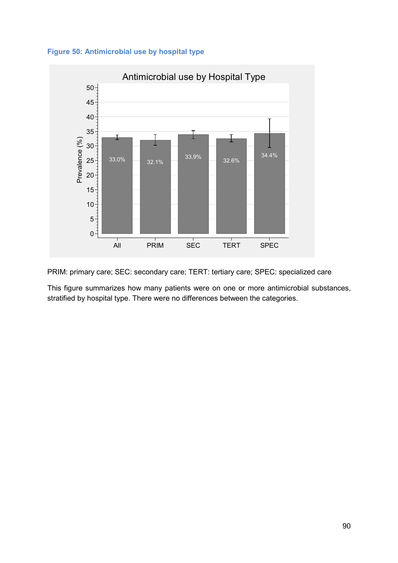



PRIM: primary care; SEC: secondary care; TERT: tertiary care; SPEC: specialized care

This figure summarizes how many patients were on one or more antimicrobial substances, stratified by hospital type. There were no differences between the categories.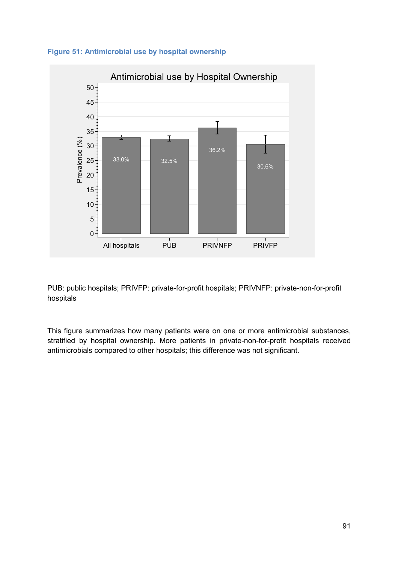



PUB: public hospitals; PRIVFP: private-for-profit hospitals; PRIVNFP: private-non-for-profit hospitals

This figure summarizes how many patients were on one or more antimicrobial substances, stratified by hospital ownership. More patients in private-non-for-profit hospitals received antimicrobials compared to other hospitals; this difference was not significant.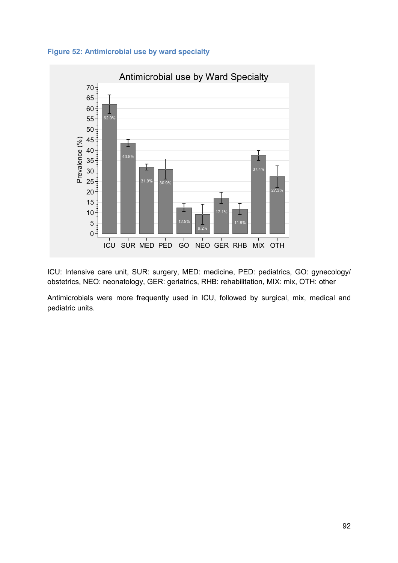



ICU: Intensive care unit, SUR: surgery, MED: medicine, PED: pediatrics, GO: gynecology/ obstetrics, NEO: neonatology, GER: geriatrics, RHB: rehabilitation, MIX: mix, OTH: other

Antimicrobials were more frequently used in ICU, followed by surgical, mix, medical and pediatric units.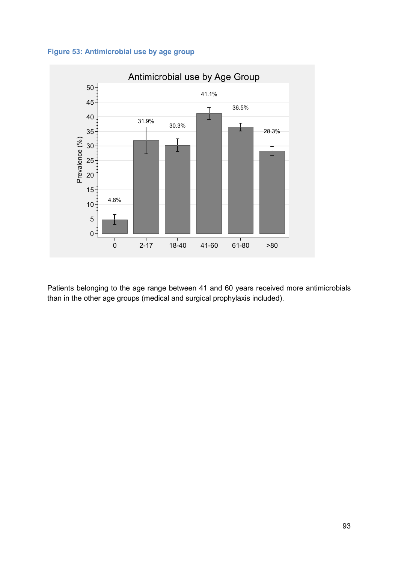



Patients belonging to the age range between 41 and 60 years received more antimicrobials than in the other age groups (medical and surgical prophylaxis included).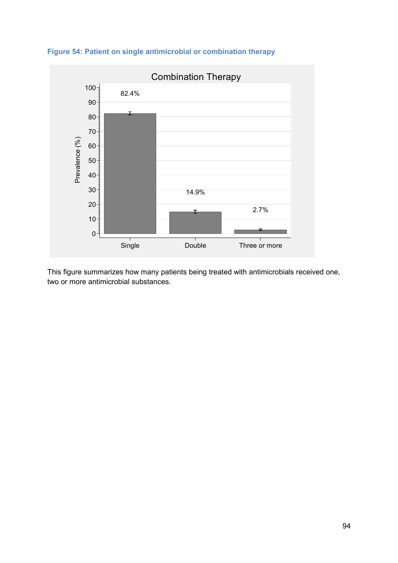



This figure summarizes how many patients being treated with antimicrobials received one, two or more antimicrobial substances.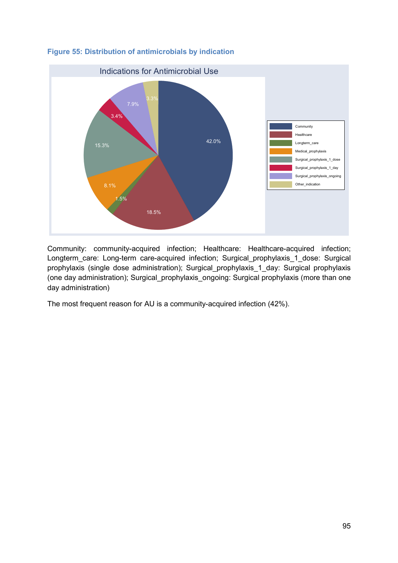

# **Figure 55: Distribution of antimicrobials by indication**

Community: community-acquired infection; Healthcare: Healthcare-acquired infection; Longterm\_care: Long-term care-acquired infection; Surgical\_prophylaxis\_1\_dose: Surgical prophylaxis (single dose administration); Surgical\_prophylaxis\_1\_day: Surgical prophylaxis (one day administration); Surgical\_prophylaxis\_ongoing: Surgical prophylaxis (more than one day administration)

The most frequent reason for AU is a community-acquired infection (42%).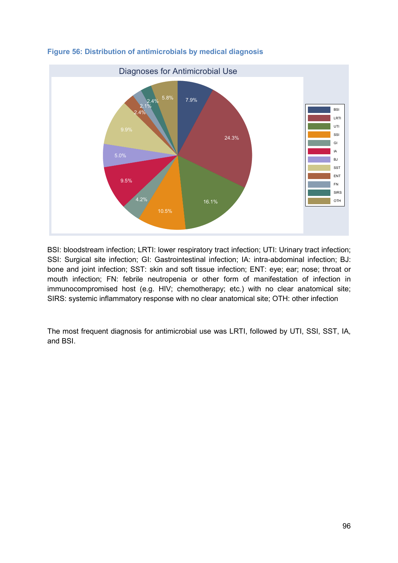

# **Figure 56: Distribution of antimicrobials by medical diagnosis**

BSI: bloodstream infection; LRTI: lower respiratory tract infection; UTI: Urinary tract infection; SSI: Surgical site infection; GI: Gastrointestinal infection; IA: intra-abdominal infection; BJ: bone and joint infection; SST: skin and soft tissue infection; ENT: eye; ear; nose; throat or mouth infection; FN: febrile neutropenia or other form of manifestation of infection in immunocompromised host (e.g. HIV; chemotherapy; etc.) with no clear anatomical site; SIRS: systemic inflammatory response with no clear anatomical site; OTH: other infection

The most frequent diagnosis for antimicrobial use was LRTI, followed by UTI, SSI, SST, IA, and BSI.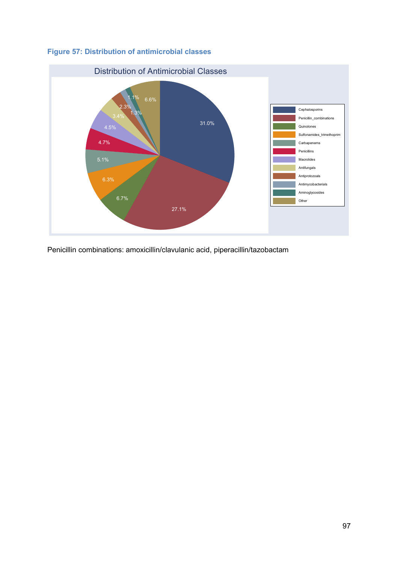



Penicillin combinations: amoxicillin/clavulanic acid, piperacillin/tazobactam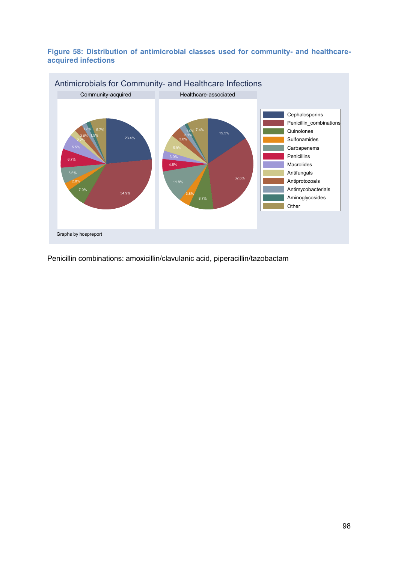### **Figure 58: Distribution of antimicrobial classes used for community- and healthcareacquired infections**



Penicillin combinations: amoxicillin/clavulanic acid, piperacillin/tazobactam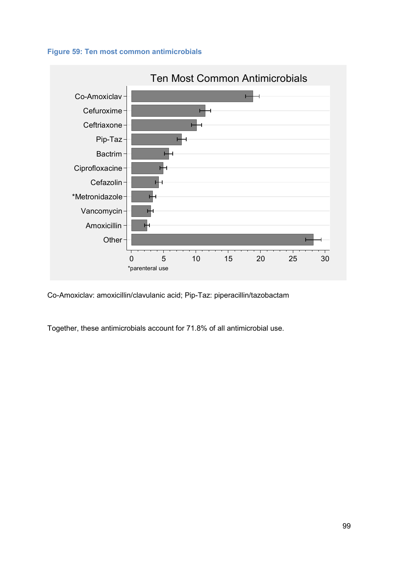



Co-Amoxiclav: amoxicillin/clavulanic acid; Pip-Taz: piperacillin/tazobactam

Together, these antimicrobials account for 71.8% of all antimicrobial use.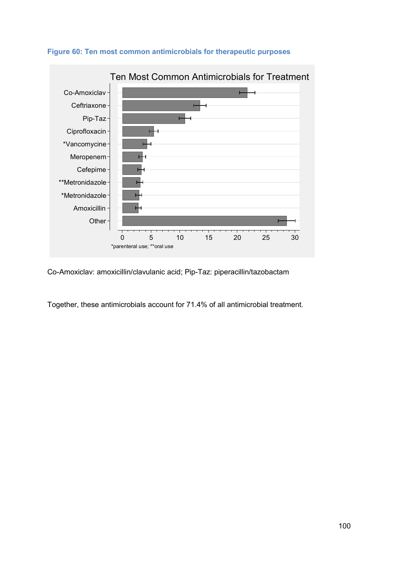

#### **Figure 60: Ten most common antimicrobials for therapeutic purposes**

Co-Amoxiclav: amoxicillin/clavulanic acid; Pip-Taz: piperacillin/tazobactam

Together, these antimicrobials account for 71.4% of all antimicrobial treatment.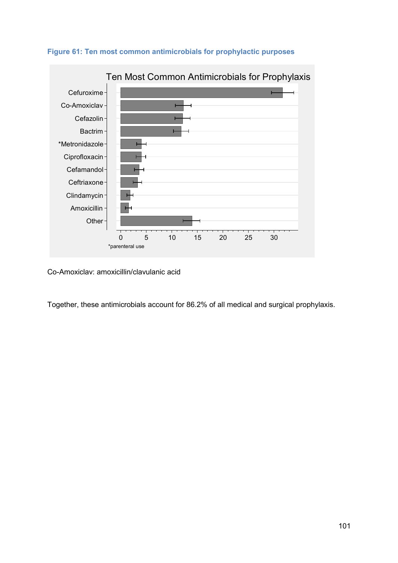



Co-Amoxiclav: amoxicillin/clavulanic acid

Together, these antimicrobials account for 86.2% of all medical and surgical prophylaxis.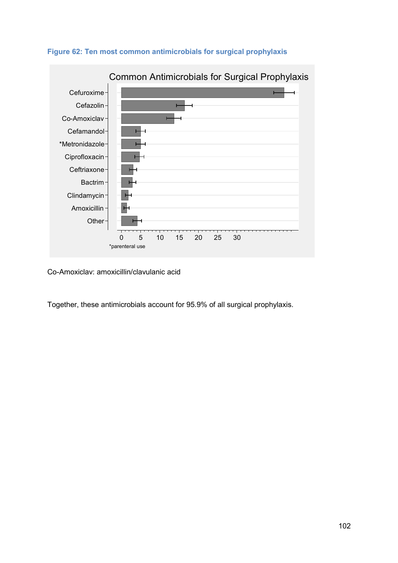



Co-Amoxiclav: amoxicillin/clavulanic acid

Together, these antimicrobials account for 95.9% of all surgical prophylaxis.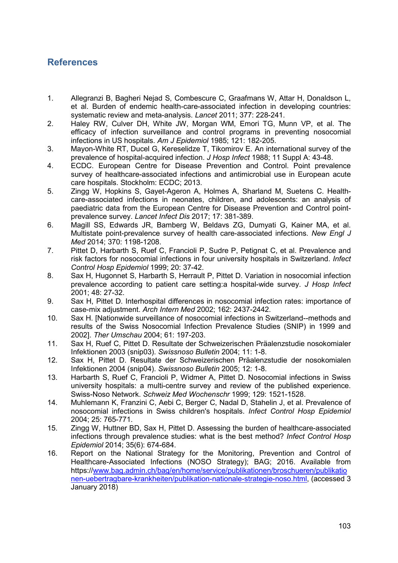# **References**

- 1. Allegranzi B, Bagheri Nejad S, Combescure C, Graafmans W, Attar H, Donaldson L, et al. Burden of endemic health-care-associated infection in developing countries: systematic review and meta-analysis. *Lancet* 2011; 377: 228-241.
- 2. Haley RW, Culver DH, White JW, Morgan WM, Emori TG, Munn VP, et al. The efficacy of infection surveillance and control programs in preventing nosocomial infections in US hospitals. *Am J Epidemiol* 1985; 121: 182-205.
- 3. Mayon-White RT, Ducel G, Kereselidze T, Tikomirov E. An international survey of the prevalence of hospital-acquired infection. *J Hosp Infect* 1988; 11 Suppl A: 43-48.
- 4. ECDC. European Centre for Disease Prevention and Control. Point prevalence survey of healthcare-associated infections and antimicrobial use in European acute care hospitals. Stockholm: ECDC; 2013.
- 5. Zingg W, Hopkins S, Gayet-Ageron A, Holmes A, Sharland M, Suetens C. Healthcare-associated infections in neonates, children, and adolescents: an analysis of paediatric data from the European Centre for Disease Prevention and Control pointprevalence survey. *Lancet Infect Dis* 2017; 17: 381-389.
- 6. Magill SS, Edwards JR, Bamberg W, Beldavs ZG, Dumyati G, Kainer MA, et al. Multistate point-prevalence survey of health care-associated infections. *New Engl J Med* 2014; 370: 1198-1208.
- 7. Pittet D, Harbarth S, Ruef C, Francioli P, Sudre P, Petignat C, et al. Prevalence and risk factors for nosocomial infections in four university hospitals in Switzerland. *Infect Control Hosp Epidemiol* 1999; 20: 37-42.
- 8. Sax H, Hugonnet S, Harbarth S, Herrault P, Pittet D. Variation in nosocomial infection prevalence according to patient care setting:a hospital-wide survey. *J Hosp Infect* 2001; 48: 27-32.
- 9. Sax H, Pittet D. Interhospital differences in nosocomial infection rates: importance of case-mix adjustment. *Arch Intern Med* 2002; 162: 2437-2442.
- 10. Sax H. [Nationwide surveillance of nosocomial infections in Switzerland--methods and results of the Swiss Nosocomial Infection Prevalence Studies (SNIP) in 1999 and 2002]. *Ther Umschau* 2004; 61: 197-203.
- 11. Sax H, Ruef C, Pittet D. Resultate der Schweizerischen Präalenzstudie nosokomialer Infektionen 2003 (snip03). *Swissnoso Bulletin* 2004; 11: 1-8.
- 12. Sax H, Pittet D. Resultate der Schweizerischen Präalenzstudie der nosokomialen Infektionen 2004 (snip04). *Swissnoso Bulletin* 2005; 12: 1-8.
- 13. Harbarth S, Ruef C, Francioli P, Widmer A, Pittet D. Nosocomial infections in Swiss university hospitals: a multi-centre survey and review of the published experience. Swiss-Noso Network. *Schweiz Med Wochenschr* 1999; 129: 1521-1528.
- 14. Muhlemann K, Franzini C, Aebi C, Berger C, Nadal D, Stahelin J, et al. Prevalence of nosocomial infections in Swiss children's hospitals. *Infect Control Hosp Epidemiol* 2004; 25: 765-771.
- 15. Zingg W, Huttner BD, Sax H, Pittet D. Assessing the burden of healthcare-associated infections through prevalence studies: what is the best method? *Infect Control Hosp Epidemiol* 2014; 35(6): 674-684.
- 16. Report on the National Strategy for the Monitoring, Prevention and Control of Healthcare-Associated Infections (NOSO Strategy); BAG; 2016. Available from https://www.bag.admin.ch/bag/en/home/service/publikationen/broschueren/publikatio nen-uebertragbare-krankheiten/publikation-nationale-strategie-noso.html, (accessed 3 January 2018)